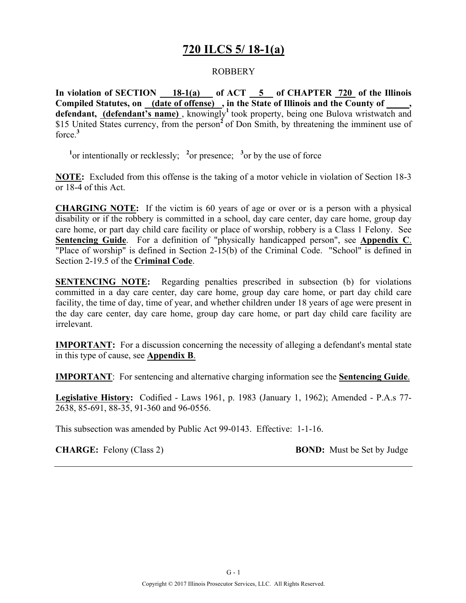### **720 ILCS 5/ 18-1(a)**

### ROBBERY

**In violation of SECTION 18-1(a) of ACT 5 of CHAPTER 720 of the Illinois Compiled Statutes, on (date of offense) , in the State of Illinois and the County of \_\_\_\_\_,**  defendant, (defendant's name), knowingly<sup>1</sup> took property, being one Bulova wristwatch and \$15 United States currency, from the person<sup>2</sup> of Don Smith, by threatening the imminent use of force.**<sup>3</sup>**

<sup>1</sup><sup>or</sup> intentionally or recklessly; <sup>2</sup><sup>or</sup> presence; <sup>3</sup><sup>or</sup> by the use of force

**NOTE:** Excluded from this offense is the taking of a motor vehicle in violation of Section 18-3 or 18-4 of this Act.

**CHARGING NOTE:** If the victim is 60 years of age or over or is a person with a physical disability or if the robbery is committed in a school, day care center, day care home, group day care home, or part day child care facility or place of worship, robbery is a Class 1 Felony. See **Sentencing Guide**. For a definition of "physically handicapped person", see **Appendix C**. "Place of worship" is defined in Section 2-15(b) of the Criminal Code. "School" is defined in Section 2-19.5 of the **Criminal Code**.

**SENTENCING NOTE:** Regarding penalties prescribed in subsection (b) for violations committed in a day care center, day care home, group day care home, or part day child care facility, the time of day, time of year, and whether children under 18 years of age were present in the day care center, day care home, group day care home, or part day child care facility are irrelevant.

**IMPORTANT:** For a discussion concerning the necessity of alleging a defendant's mental state in this type of cause, see **Appendix B**.

**IMPORTANT**: For sentencing and alternative charging information see the **Sentencing Guide**.

**Legislative History:** Codified - Laws 1961, p. 1983 (January 1, 1962); Amended - P.A.s 77- 2638, 85-691, 88-35, 91-360 and 96-0556.

This subsection was amended by Public Act 99-0143. Effective: 1-1-16.

**CHARGE:** Felony (Class 2) **BOND:** Must be Set by Judge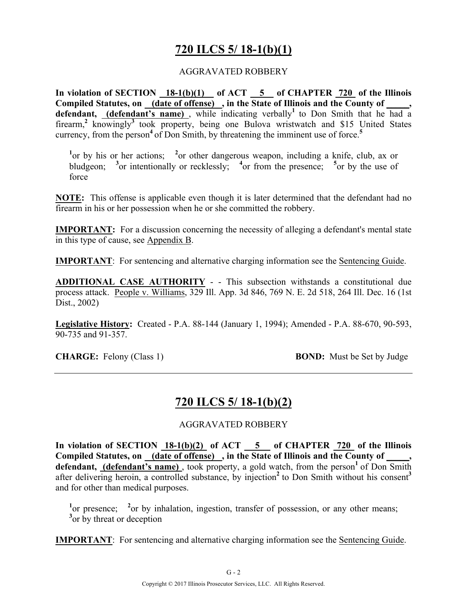# **720 ILCS 5/ 18-1(b)(1)**

#### AGGRAVATED ROBBERY

**In violation of SECTION 18-1(b)(1) of ACT 5 of CHAPTER 720 of the Illinois**  Compiled Statutes, on (date of offense), in the State of Illinois and the County of, **defendant,** (defendant's name), while indicating verbally<sup>1</sup> to Don Smith that he had a firearm,<sup>2</sup> knowingly<sup>3</sup> took property, being one Bulova wristwatch and \$15 United States currency, from the person<sup>4</sup> of Don Smith, by threatening the imminent use of force.<sup>5</sup>

<sup>1</sup> or by his or her actions; <sup>2</sup> or other dangerous weapon, including a knife, club, ax or bludgeon; <sup>3</sup> or intentionally or recklessly; <sup>4</sup> or from the presence; <sup>5</sup> or by the use of force

**NOTE:** This offense is applicable even though it is later determined that the defendant had no firearm in his or her possession when he or she committed the robbery.

**IMPORTANT:** For a discussion concerning the necessity of alleging a defendant's mental state in this type of cause, see Appendix B.

**IMPORTANT**: For sentencing and alternative charging information see the Sentencing Guide.

**ADDITIONAL CASE AUTHORITY** - - This subsection withstands a constitutional due process attack. People v. Williams, 329 Ill. App. 3d 846, 769 N. E. 2d 518, 264 Ill. Dec. 16 (1st Dist., 2002)

**Legislative History:** Created - P.A. 88-144 (January 1, 1994); Amended - P.A. 88-670, 90-593, 90-735 and 91-357.

**CHARGE:** Felony (Class 1) **BOND:** Must be Set by Judge

### **720 ILCS 5/ 18-1(b)(2)**

#### AGGRAVATED ROBBERY

In violation of SECTION  $18-1(b)(2)$  of ACT  $-5$  of CHAPTER  $720$  of the Illinois **Compiled Statutes, on (date of offense) , in the State of Illinois and the County of \_\_\_\_\_,**  defendant, (defendant's name), took property, a gold watch, from the person<sup>1</sup> of Don Smith after delivering heroin, a controlled substance, by injection<sup>2</sup> to Don Smith without his consent<sup>3</sup> and for other than medical purposes.

<sup>1</sup> or presence; <sup>2</sup> or by inhalation, ingestion, transfer of possession, or any other means; <sup>3</sup> or by threat or deception

**IMPORTANT**: For sentencing and alternative charging information see the Sentencing Guide.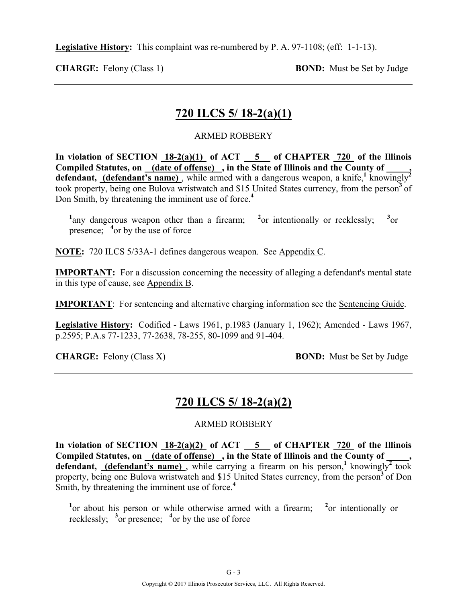**Legislative History:** This complaint was re-numbered by P. A. 97-1108; (eff: 1-1-13).

**CHARGE:** Felony (Class 1) **BOND:** Must be Set by Judge

# **720 ILCS 5/ 18-2(a)(1)**

### ARMED ROBBERY

In violation of SECTION  $18-2(a)(1)$  of ACT  $-5$  of CHAPTER  $720$  of the Illinois **Compiled Statutes, on (date of offense) , in the State of Illinois and the County of \_\_\_\_\_,**  defendant, **(defendant's name)**, while armed with a dangerous weapon, a knife,<sup>1</sup> knowingly took property, being one Bulova wristwatch and \$15 United States currency, from the person**<sup>3</sup>**of Don Smith, by threatening the imminent use of force.**<sup>4</sup>**

<sup>1</sup> any dangerous weapon other than a firearm; <sup>2</sup> or intentionally or recklessly; <sup>3</sup>  $3_{\alpha r}$ presence; <sup>4</sup> or by the use of force

**NOTE:** 720 ILCS 5/33A-1 defines dangerous weapon. See Appendix C.

**IMPORTANT:** For a discussion concerning the necessity of alleging a defendant's mental state in this type of cause, see Appendix B.

**IMPORTANT**: For sentencing and alternative charging information see the Sentencing Guide.

**Legislative History:** Codified - Laws 1961, p.1983 (January 1, 1962); Amended - Laws 1967, p.2595; P.A.s 77-1233, 77-2638, 78-255, 80-1099 and 91-404.

**CHARGE:** Felony (Class X) **BOND:** Must be Set by Judge

# **720 ILCS 5/ 18-2(a)(2)**

### ARMED ROBBERY

**In violation of SECTION 18-2(a)(2) of ACT 5 of CHAPTER 720 of the Illinois**  Compiled Statutes, on (date of offense), in the State of Illinois and the County of defendant, **(defendant's name)**, while carrying a firearm on his person,<sup>1</sup> knowingly<sup>2</sup> took property, being one Bulova wristwatch and \$15 United States currency, from the person<sup>3</sup> of Don Smith, by threatening the imminent use of force.<sup>4</sup>

<sup>1</sup> or about his person or while otherwise armed with a firearm; <sup>2</sup> or intentionally or recklessly;  $\frac{3}{2}$  or presence;  $\frac{4}{2}$  or by the use of force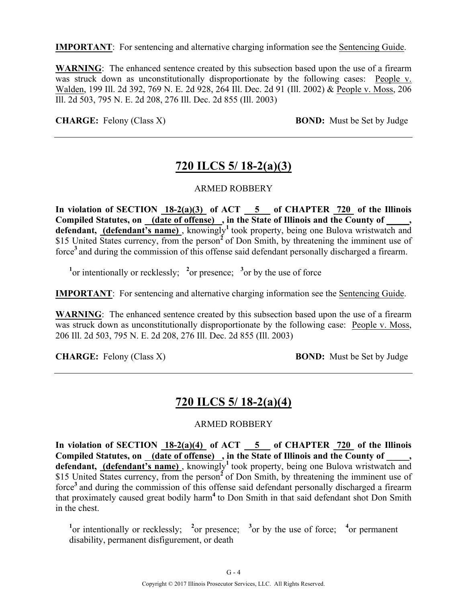**IMPORTANT**: For sentencing and alternative charging information see the Sentencing Guide.

**WARNING**: The enhanced sentence created by this subsection based upon the use of a firearm was struck down as unconstitutionally disproportionate by the following cases: People v. Walden, 199 Ill. 2d 392, 769 N. E. 2d 928, 264 Ill. Dec. 2d 91 (Ill. 2002) & People v. Moss, 206 Ill. 2d 503, 795 N. E. 2d 208, 276 Ill. Dec. 2d 855 (Ill. 2003)

**CHARGE:** Felony (Class X) **BOND:** Must be Set by Judge

### **720 ILCS 5/ 18-2(a)(3)**

#### ARMED ROBBERY

**In violation of SECTION 18-2(a)(3) of ACT 5 of CHAPTER 720 of the Illinois Compiled Statutes, on (date of offense) , in the State of Illinois and the County of \_\_\_\_\_,**  defendant, (defendant's name), knowingly<sup>1</sup> took property, being one Bulova wristwatch and \$15 United States currency, from the person<sup>2</sup> of Don Smith, by threatening the imminent use of force**<sup>3</sup>**and during the commission of this offense said defendant personally discharged a firearm.

<sup>1</sup><sup>or</sup> intentionally or recklessly; <sup>2</sup><sup>or</sup> presence; <sup>3</sup><sup>or</sup> by the use of force

**IMPORTANT**: For sentencing and alternative charging information see the Sentencing Guide.

**WARNING**: The enhanced sentence created by this subsection based upon the use of a firearm was struck down as unconstitutionally disproportionate by the following case: People v. Moss, 206 Ill. 2d 503, 795 N. E. 2d 208, 276 Ill. Dec. 2d 855 (Ill. 2003)

**CHARGE:** Felony (Class X) **BOND:** Must be Set by Judge

### **720 ILCS 5/ 18-2(a)(4)**

#### ARMED ROBBERY

**In violation of SECTION 18-2(a)(4) of ACT 5 of CHAPTER 720 of the Illinois Compiled Statutes, on (date of offense) , in the State of Illinois and the County of \_\_\_\_\_,**  defendant, (defendant's name), knowingly<sup>1</sup> took property, being one Bulova wristwatch and \$15 United States currency, from the person<sup>2</sup> of Don Smith, by threatening the imminent use of force**<sup>3</sup>**and during the commission of this offense said defendant personally discharged a firearm that proximately caused great bodily harm**<sup>4</sup>**to Don Smith in that said defendant shot Don Smith in the chest.

<sup>1</sup>or intentionally or recklessly; <sup>2</sup> or presence; <sup>3</sup> or by the use of force; <sup>4</sup> or permanent disability, permanent disfigurement, or death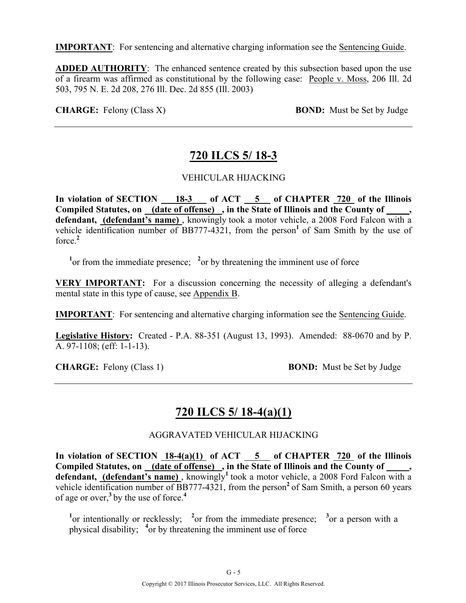**IMPORTANT**: For sentencing and alternative charging information see the Sentencing Guide.

**ADDED AUTHORITY**: The enhanced sentence created by this subsection based upon the use of a firearm was affirmed as constitutional by the following case: People v. Moss, 206 Ill. 2d 503, 795 N. E. 2d 208, 276 Ill. Dec. 2d 855 (Ill. 2003)

**CHARGE:** Felony (Class X) **BOND:** Must be Set by Judge

# **720 ILCS 5/ 18-3**

### VEHICULAR HIJACKING

In violation of SECTION 18-3 of ACT 5 of CHAPTER 720 of the Illinois **Compiled Statutes, on (date of offense) , in the State of Illinois and the County of \_\_\_\_\_, defendant, (defendant's name)** , knowingly took a motor vehicle, a 2008 Ford Falcon with a vehicle identification number of BB777-4321, from the person<sup>1</sup> of Sam Smith by the use of force.**<sup>2</sup>**

<sup>1</sup> or from the immediate presence;  $\frac{2}{x}$  or by threatening the imminent use of force

**VERY IMPORTANT:** For a discussion concerning the necessity of alleging a defendant's mental state in this type of cause, see Appendix B.

**IMPORTANT**: For sentencing and alternative charging information see the Sentencing Guide.

**Legislative History:** Created - P.A. 88-351 (August 13, 1993). Amended: 88-0670 and by P. A. 97-1108; (eff: 1-1-13).

**CHARGE:** Felony (Class 1) **BOND:** Must be Set by Judge

### **720 ILCS 5/ 18-4(a)(1)**

### AGGRAVATED VEHICULAR HIJACKING

In violation of SECTION 18-4(a)(1) of ACT 5 of CHAPTER 720 of the Illinois Compiled Statutes, on (date of offense), in the State of Illinois and the County of, defendant, (defendant's name), knowingly<sup>1</sup> took a motor vehicle, a 2008 Ford Falcon with a vehicle identification number of BB777-4321, from the person<sup>2</sup> of Sam Smith, a person 60 years of age or over,**<sup>3</sup>**by the use of force.**<sup>4</sup>**

<sup>1</sup> or intentionally or recklessly; <sup>2</sup> or from the immediate presence; <sup>3</sup> or a person with a physical disability; **<sup>4</sup>** or by threatening the imminent use of force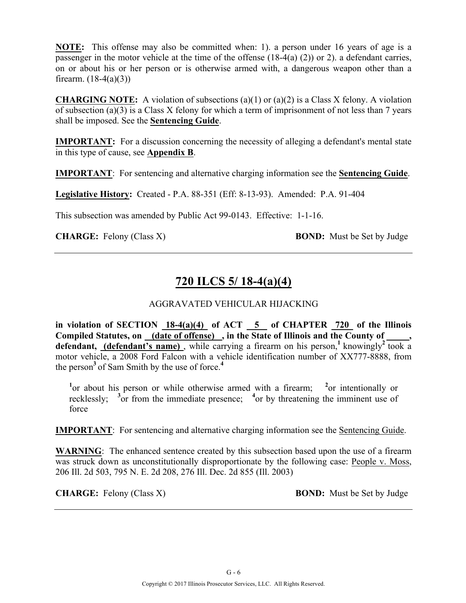**NOTE:** This offense may also be committed when: 1). a person under 16 years of age is a passenger in the motor vehicle at the time of the offense (18-4(a) (2)) or 2). a defendant carries, on or about his or her person or is otherwise armed with, a dangerous weapon other than a firearm.  $(18-4(a)(3))$ 

**CHARGING NOTE:** A violation of subsections  $(a)(1)$  or  $(a)(2)$  is a Class X felony. A violation of subsection (a)(3) is a Class X felony for which a term of imprisonment of not less than 7 years shall be imposed. See the **Sentencing Guide**.

**IMPORTANT:** For a discussion concerning the necessity of alleging a defendant's mental state in this type of cause, see **Appendix B**.

**IMPORTANT**: For sentencing and alternative charging information see the **Sentencing Guide**.

**Legislative History:** Created - P.A. 88-351 (Eff: 8-13-93). Amended: P.A. 91-404

This subsection was amended by Public Act 99-0143. Effective: 1-1-16.

**CHARGE:** Felony (Class X) **BOND:** Must be Set by Judge

# **720 ILCS 5/ 18-4(a)(4)**

### AGGRAVATED VEHICULAR HIJACKING

in violation of SECTION  $18-4(a)(4)$  of ACT  $\overline{5}$  of CHAPTER 720 of the Illinois **Compiled Statutes, on (date of offense) , in the State of Illinois and the County of \_\_\_\_\_,**  defendant, (defendant's name), while carrying a firearm on his person,<sup>1</sup> knowingly<sup>2</sup> took a motor vehicle, a 2008 Ford Falcon with a vehicle identification number of XX777-8888, from the person**<sup>3</sup>**of Sam Smith by the use of force.**<sup>4</sup>**

<sup>1</sup> or about his person or while otherwise armed with a firearm; <sup>2</sup> or intentionally or recklessly;  $\frac{3}{3}$  or from the immediate presence;  $\frac{4}{3}$  or by threatening the imminent use of force

**IMPORTANT**: For sentencing and alternative charging information see the Sentencing Guide.

**WARNING**: The enhanced sentence created by this subsection based upon the use of a firearm was struck down as unconstitutionally disproportionate by the following case: People v. Moss, 206 Ill. 2d 503, 795 N. E. 2d 208, 276 Ill. Dec. 2d 855 (Ill. 2003)

**CHARGE:** Felony (Class X) **BOND:** Must be Set by Judge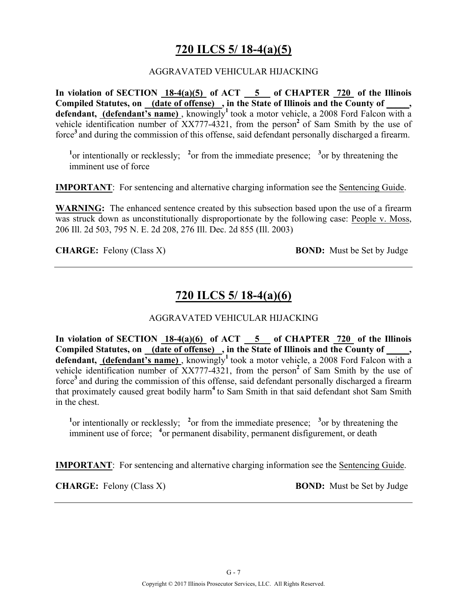# **720 ILCS 5/ 18-4(a)(5)**

### AGGRAVATED VEHICULAR HIJACKING

**In violation of SECTION 18-4(a)(5) of ACT 5 of CHAPTER 720 of the Illinois**  Compiled Statutes, on (date of offense), in the State of Illinois and the County of, defendant, (defendant's name), knowingly<sup>1</sup> took a motor vehicle, a 2008 Ford Falcon with a vehicle identification number of XX777-4321, from the person**<sup>2</sup>**of Sam Smith by the use of force**<sup>3</sup>**and during the commission of this offense, said defendant personally discharged a firearm.

<sup>1</sup><sup>or</sup> intentionally or recklessly; <sup>2</sup><sup>or</sup> from the immediate presence; <sup>3</sup><sup>or</sup> by threatening the imminent use of force

**IMPORTANT**: For sentencing and alternative charging information see the Sentencing Guide.

WARNING: The enhanced sentence created by this subsection based upon the use of a firearm was struck down as unconstitutionally disproportionate by the following case: People v. Moss, 206 Ill. 2d 503, 795 N. E. 2d 208, 276 Ill. Dec. 2d 855 (Ill. 2003)

**CHARGE:** Felony (Class X) **BOND:** Must be Set by Judge

### **720 ILCS 5/ 18-4(a)(6)**

### AGGRAVATED VEHICULAR HIJACKING

**In violation of SECTION 18-4(a)(6) of ACT 5 of CHAPTER 720 of the Illinois**  Compiled Statutes, on (date of offense), in the State of Illinois and the County of \_\_\_\_, defendant, (defendant's name), knowingly<sup>1</sup> took a motor vehicle, a 2008 Ford Falcon with a vehicle identification number of XX777-4321, from the person**<sup>2</sup>**of Sam Smith by the use of force**<sup>3</sup>**and during the commission of this offense, said defendant personally discharged a firearm that proximately caused great bodily harm**<sup>4</sup>**to Sam Smith in that said defendant shot Sam Smith in the chest.

<sup>1</sup><sup>or</sup> intentionally or recklessly; <sup>2</sup><sup>or</sup> from the immediate presence; <sup>3</sup><sup>or</sup> by threatening the imminent use of force; <sup>4</sup> or permanent disability, permanent disfigurement, or death

**IMPORTANT**: For sentencing and alternative charging information see the Sentencing Guide.

**CHARGE:** Felony (Class X) **BOND:** Must be Set by Judge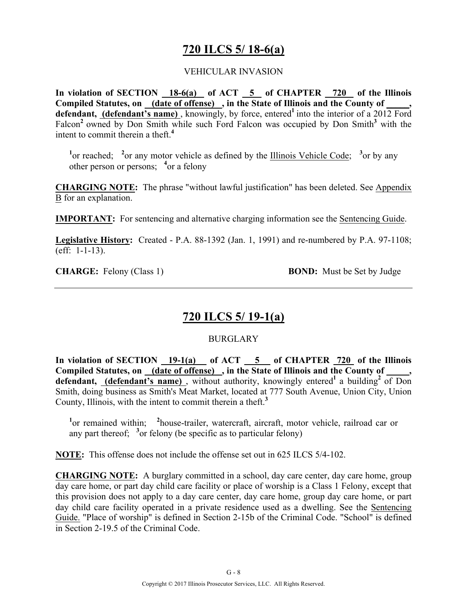### **720 ILCS 5/ 18-6(a)**

### VEHICULAR INVASION

**In violation of SECTION 18-6(a) of ACT 5 of CHAPTER 720 of the Illinois Compiled Statutes, on (date of offense) , in the State of Illinois and the County of \_\_\_\_\_, defendant, (defendant's name)** , knowingly, by force, entered**<sup>1</sup>**into the interior of a 2012 Ford Falcon<sup>2</sup> owned by Don Smith while such Ford Falcon was occupied by Don Smith<sup>3</sup> with the intent to commit therein a theft.**<sup>4</sup>**

<sup>1</sup> or reached; <sup>2</sup> or any motor vehicle as defined by the Illinois Vehicle Code; <sup>3</sup> or by any other person or persons; **<sup>4</sup>** or a felony

**CHARGING NOTE:** The phrase "without lawful justification" has been deleted. See Appendix B for an explanation.

**IMPORTANT:** For sentencing and alternative charging information see the Sentencing Guide.

**Legislative History:** Created - P.A. 88-1392 (Jan. 1, 1991) and re-numbered by P.A. 97-1108; (eff: 1-1-13).

**CHARGE:** Felony (Class 1) **BOND:** Must be Set by Judge

### **720 ILCS 5/ 19-1(a)**

### **BURGLARY**

**In violation of SECTION 19-1(a) of ACT 5 of CHAPTER 720 of the Illinois**  Compiled Statutes, on (date of offense), in the State of Illinois and the County of defendant, (defendant's name), without authority, knowingly entered<sup>1</sup> a building<sup>2</sup> of Don Smith, doing business as Smith's Meat Market, located at 777 South Avenue, Union City, Union County, Illinois, with the intent to commit therein a theft.**<sup>3</sup>**

<sup>1</sup> or remained within; <sup>2</sup> house-trailer, watercraft, aircraft, motor vehicle, railroad car or any part thereof;  $\frac{3}{2}$  or felony (be specific as to particular felony)

**NOTE:** This offense does not include the offense set out in 625 ILCS 5/4-102.

**CHARGING NOTE:** A burglary committed in a school, day care center, day care home, group day care home, or part day child care facility or place of worship is a Class 1 Felony, except that this provision does not apply to a day care center, day care home, group day care home, or part day child care facility operated in a private residence used as a dwelling. See the Sentencing Guide. "Place of worship" is defined in Section 2-15b of the Criminal Code. "School" is defined in Section 2-19.5 of the Criminal Code.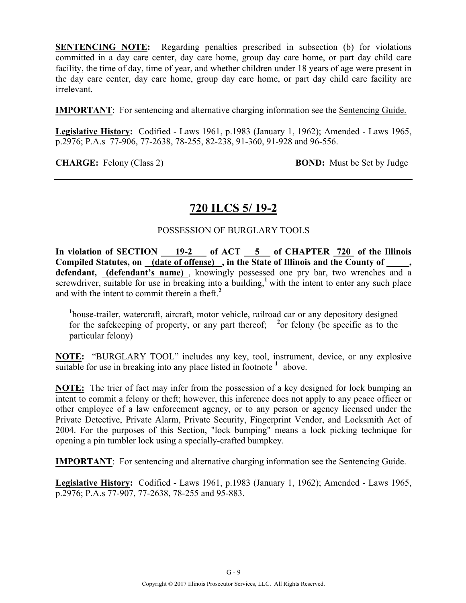**SENTENCING NOTE:** Regarding penalties prescribed in subsection (b) for violations committed in a day care center, day care home, group day care home, or part day child care facility, the time of day, time of year, and whether children under 18 years of age were present in the day care center, day care home, group day care home, or part day child care facility are irrelevant.

**IMPORTANT**: For sentencing and alternative charging information see the Sentencing Guide.

**Legislative History:** Codified - Laws 1961, p.1983 (January 1, 1962); Amended - Laws 1965, p.2976; P.A.s 77-906, 77-2638, 78-255, 82-238, 91-360, 91-928 and 96-556.

**CHARGE:** Felony (Class 2) **BOND:** Must be Set by Judge

### **720 ILCS 5/ 19-2**

### POSSESSION OF BURGLARY TOOLS

In violation of SECTION 19-2 of ACT 5 of CHAPTER 720 of the Illinois **Compiled Statutes, on (date of offense) , in the State of Illinois and the County of \_\_\_\_\_, defendant, (defendant's name)** , knowingly possessed one pry bar, two wrenches and a screwdriver, suitable for use in breaking into a building,<sup>1</sup> with the intent to enter any such place and with the intent to commit therein a theft.**<sup>2</sup>**

<sup>1</sup>house-trailer, watercraft, aircraft, motor vehicle, railroad car or any depository designed for the safekeeping of property, or any part thereof;  $\frac{2}{3}$  or felony (be specific as to the particular felony)

**NOTE:** "BURGLARY TOOL" includes any key, tool, instrument, device, or any explosive suitable for use in breaking into any place listed in footnote  $\frac{1}{1}$  above.

**NOTE:** The trier of fact may infer from the possession of a key designed for lock bumping an intent to commit a felony or theft; however, this inference does not apply to any peace officer or other employee of a law enforcement agency, or to any person or agency licensed under the Private Detective, Private Alarm, Private Security, Fingerprint Vendor, and Locksmith Act of 2004. For the purposes of this Section, "lock bumping" means a lock picking technique for opening a pin tumbler lock using a specially-crafted bumpkey.

**IMPORTANT**: For sentencing and alternative charging information see the Sentencing Guide.

**Legislative History:** Codified - Laws 1961, p.1983 (January 1, 1962); Amended - Laws 1965, p.2976; P.A.s 77-907, 77-2638, 78-255 and 95-883.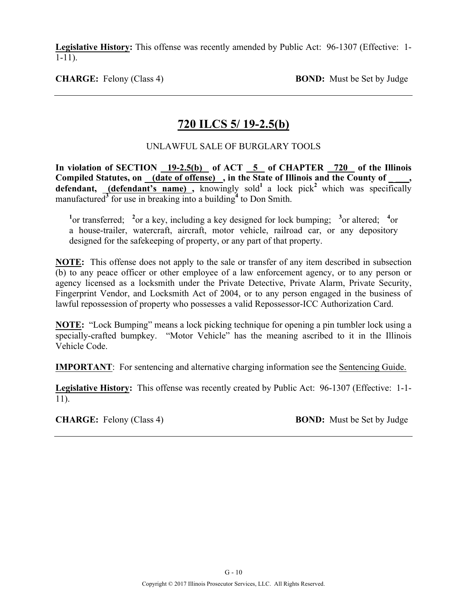**Legislative History:** This offense was recently amended by Public Act: 96-1307 (Effective: 1- 1-11).

**CHARGE:** Felony (Class 4) **BOND:** Must be Set by Judge

### **720 ILCS 5/ 19-2.5(b)**

### UNLAWFUL SALE OF BURGLARY TOOLS

**In violation of SECTION 19-2.5(b) of ACT 5 of CHAPTER 720 of the Illinois**  Compiled Statutes, on (date of offense), in the State of Illinois and the County of **defendant,** (defendant's name), knowingly sold<sup>1</sup> a lock pick<sup>2</sup> which was specifically manufactured**<sup>3</sup>** for use in breaking into a building**<sup>4</sup>** to Don Smith.

<sup>1</sup><sup>or</sup> transferred; <sup>2</sup><sup>or</sup> a key, including a key designed for lock bumping; <sup>3</sup><sup>or</sup> altered; <sup>4</sup><sup>or</sup> a house-trailer, watercraft, aircraft, motor vehicle, railroad car, or any depository designed for the safekeeping of property, or any part of that property.

**NOTE:** This offense does not apply to the sale or transfer of any item described in subsection (b) to any peace officer or other employee of a law enforcement agency, or to any person or agency licensed as a locksmith under the Private Detective, Private Alarm, Private Security, Fingerprint Vendor, and Locksmith Act of 2004, or to any person engaged in the business of lawful repossession of property who possesses a valid Repossessor-ICC Authorization Card.

**NOTE:** "Lock Bumping" means a lock picking technique for opening a pin tumbler lock using a specially-crafted bumpkey. "Motor Vehicle" has the meaning ascribed to it in the Illinois Vehicle Code.

**IMPORTANT**: For sentencing and alternative charging information see the Sentencing Guide.

**Legislative History:** This offense was recently created by Public Act: 96-1307 (Effective: 1-1- 11).

**CHARGE:** Felony (Class 4) **BOND:** Must be Set by Judge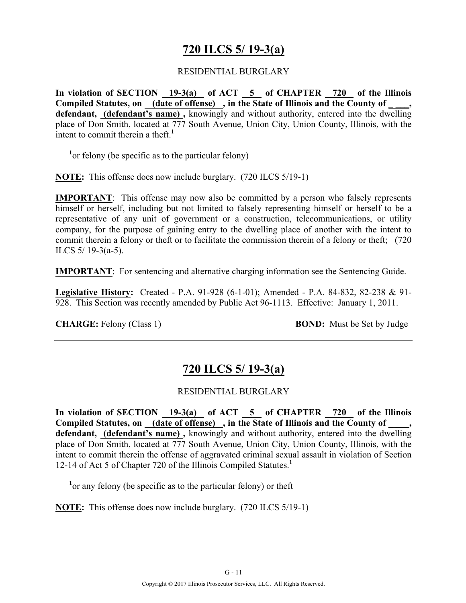### **720 ILCS 5/ 19-3(a)**

#### RESIDENTIAL BURGLARY

**In violation of SECTION 19-3(a) of ACT 5 of CHAPTER 720 of the Illinois**  Compiled Statutes, on \_\_\_ (date of offense) , in the State of Illinois and the County of **defendant, (defendant's name) ,** knowingly and without authority, entered into the dwelling place of Don Smith, located at 777 South Avenue, Union City, Union County, Illinois, with the intent to commit therein a theft.<sup>1</sup>

<sup>1</sup> or felony (be specific as to the particular felony)

**NOTE:** This offense does now include burglary. (720 ILCS 5/19-1)

**IMPORTANT**: This offense may now also be committed by a person who falsely represents himself or herself, including but not limited to falsely representing himself or herself to be a representative of any unit of government or a construction, telecommunications, or utility company, for the purpose of gaining entry to the dwelling place of another with the intent to commit therein a felony or theft or to facilitate the commission therein of a felony or theft; (720 ILCS 5/ 19-3(a-5).

**IMPORTANT**: For sentencing and alternative charging information see the Sentencing Guide.

**Legislative History:** Created - P.A. 91-928 (6-1-01); Amended - P.A. 84-832, 82-238 & 91- 928. This Section was recently amended by Public Act 96-1113. Effective: January 1, 2011.

**CHARGE:** Felony (Class 1) **BOND:** Must be Set by Judge

### **720 ILCS 5/ 19-3(a)**

### RESIDENTIAL BURGLARY

In violation of SECTION 19-3(a) of ACT 5 of CHAPTER 720 of the Illinois Compiled Statutes, on (date of offense), in the State of Illinois and the County of **defendant, (defendant's name) ,** knowingly and without authority, entered into the dwelling place of Don Smith, located at 777 South Avenue, Union City, Union County, Illinois, with the intent to commit therein the offense of aggravated criminal sexual assault in violation of Section 12-14 of Act 5 of Chapter 720 of the Illinois Compiled Statutes.**<sup>1</sup>**

<sup>1</sup> or any felony (be specific as to the particular felony) or theft

**NOTE:** This offense does now include burglary. (720 ILCS 5/19-1)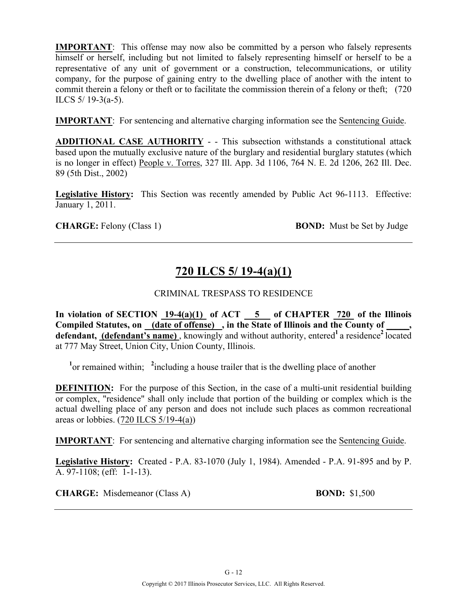**IMPORTANT**: This offense may now also be committed by a person who falsely represents himself or herself, including but not limited to falsely representing himself or herself to be a representative of any unit of government or a construction, telecommunications, or utility company, for the purpose of gaining entry to the dwelling place of another with the intent to commit therein a felony or theft or to facilitate the commission therein of a felony or theft; (720 ILCS  $5/19-3(a-5)$ .

**IMPORTANT**: For sentencing and alternative charging information see the Sentencing Guide.

**ADDITIONAL CASE AUTHORITY** - - This subsection withstands a constitutional attack based upon the mutually exclusive nature of the burglary and residential burglary statutes (which is no longer in effect) People v. Torres, 327 Ill. App. 3d 1106, 764 N. E. 2d 1206, 262 Ill. Dec. 89 (5th Dist., 2002)

**Legislative History:** This Section was recently amended by Public Act 96-1113. Effective: January 1, 2011.

**CHARGE:** Felony (Class 1) **BOND:** Must be Set by Judge

# **720 ILCS 5/ 19-4(a)(1)**

### CRIMINAL TRESPASS TO RESIDENCE

**In violation of SECTION 19-4(a)(1) of ACT 5 of CHAPTER 720 of the Illinois Compiled Statutes, on (date of offense) , in the State of Illinois and the County of \_\_\_\_\_, defendant, (defendant's name)**, knowingly and without authority, entered<sup>1</sup> a residence<sup>2</sup> located at 777 May Street, Union City, Union County, Illinois.

<sup>1</sup><sup>or</sup> remained within; <sup>2</sup>including a house trailer that is the dwelling place of another

**DEFINITION:** For the purpose of this Section, in the case of a multi-unit residential building or complex, "residence" shall only include that portion of the building or complex which is the actual dwelling place of any person and does not include such places as common recreational areas or lobbies.  $(720$  ILCS  $5/19-4(a)$ )

**IMPORTANT**: For sentencing and alternative charging information see the Sentencing Guide.

**Legislative History:** Created - P.A. 83-1070 (July 1, 1984). Amended - P.A. 91-895 and by P. A. 97-1108; (eff: 1-1-13).

**CHARGE:** Misdemeanor (Class A) **BOND:** \$1,500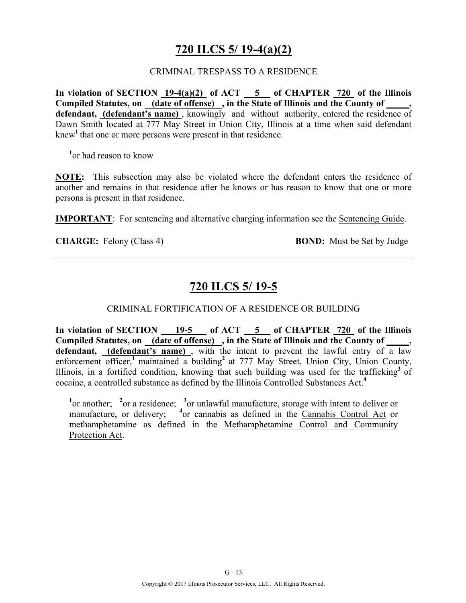# **720 ILCS 5/ 19-4(a)(2)**

#### CRIMINAL TRESPASS TO A RESIDENCE

**In violation of SECTION 19-4(a)(2) of ACT 5 of CHAPTER 720 of the Illinois Compiled Statutes, on (date of offense) , in the State of Illinois and the County of \_\_\_\_\_, defendant, (defendant's name)** , knowingly and without authority, entered the residence of Dawn Smith located at 777 May Street in Union City, Illinois at a time when said defendant knew**<sup>1</sup>**that one or more persons were present in that residence.

**1** or had reason to know

**NOTE:** This subsection may also be violated where the defendant enters the residence of another and remains in that residence after he knows or has reason to know that one or more persons is present in that residence.

**IMPORTANT**: For sentencing and alternative charging information see the Sentencing Guide.

**CHARGE:** Felony (Class 4) **BOND:** Must be Set by Judge

# **720 ILCS 5/ 19-5**

### CRIMINAL FORTIFICATION OF A RESIDENCE OR BUILDING

In violation of SECTION 19-5 of ACT 5 of CHAPTER 720 of the Illinois Compiled Statutes, on <u>(date of offense)</u>, in the State of Illinois and the County of \_\_\_\_, **defendant, (defendant's name)** , with the intent to prevent the lawful entry of a law enforcement officer,<sup>1</sup> maintained a building<sup>2</sup> at 777 May Street, Union City, Union County, Illinois, in a fortified condition, knowing that such building was used for the trafficking**<sup>3</sup>**of cocaine, a controlled substance as defined by the Illinois Controlled Substances Act.**<sup>4</sup>**

<sup>1</sup><sup>or</sup> another; <sup>2</sup><sup>or</sup> a residence; <sup>3</sup><sup>or</sup> unlawful manufacture, storage with intent to deliver or manufacture, or delivery; <sup>4</sup>or cannabis as defined in the Cannabis Control Act or methamphetamine as defined in the Methamphetamine Control and Community Protection Act.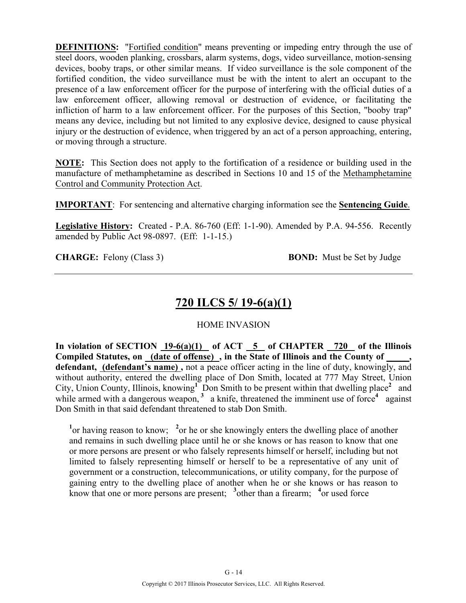**DEFINITIONS:** "Fortified condition" means preventing or impeding entry through the use of steel doors, wooden planking, crossbars, alarm systems, dogs, video surveillance, motion-sensing devices, booby traps, or other similar means. If video surveillance is the sole component of the fortified condition, the video surveillance must be with the intent to alert an occupant to the presence of a law enforcement officer for the purpose of interfering with the official duties of a law enforcement officer, allowing removal or destruction of evidence, or facilitating the infliction of harm to a law enforcement officer. For the purposes of this Section, "booby trap" means any device, including but not limited to any explosive device, designed to cause physical injury or the destruction of evidence, when triggered by an act of a person approaching, entering, or moving through a structure.

**NOTE:** This Section does not apply to the fortification of a residence or building used in the manufacture of methamphetamine as described in Sections 10 and 15 of the Methamphetamine Control and Community Protection Act.

**IMPORTANT**: For sentencing and alternative charging information see the **Sentencing Guide**.

**Legislative History:** Created - P.A. 86-760 (Eff: 1-1-90). Amended by P.A. 94-556. Recently amended by Public Act 98-0897. (Eff: 1-1-15.)

**CHARGE:** Felony (Class 3) **BOND:** Must be Set by Judge

# **720 ILCS 5/ 19-6(a)(1)**

### HOME INVASION

**In violation of SECTION 19-6(a)(1) of ACT 5 of CHAPTER 720 of the Illinois Compiled Statutes, on (date of offense) , in the State of Illinois and the County of \_\_\_\_\_, defendant, (defendant's name) ,** not a peace officer acting in the line of duty, knowingly, and without authority, entered the dwelling place of Don Smith, located at 777 May Street, Union City, Union County, Illinois, knowing<sup>1</sup> Don Smith to be present within that dwelling place<sup>2</sup> and while armed with a dangerous weapon,  $3$  a knife, threatened the imminent use of force<sup>4</sup> against Don Smith in that said defendant threatened to stab Don Smith.

<sup>1</sup> or having reason to know; <sup>2</sup> or he or she knowingly enters the dwelling place of another and remains in such dwelling place until he or she knows or has reason to know that one or more persons are present or who falsely represents himself or herself, including but not limited to falsely representing himself or herself to be a representative of any unit of government or a construction, telecommunications, or utility company, for the purpose of gaining entry to the dwelling place of another when he or she knows or has reason to know that one or more persons are present;  $\frac{3}{2}$  other than a firearm;  $\frac{4}{2}$  or used force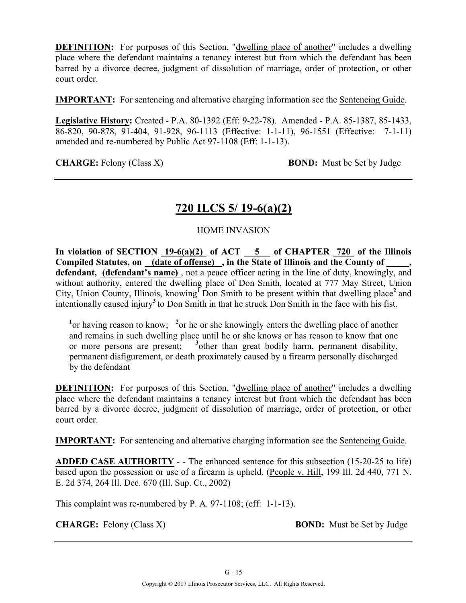**DEFINITION:** For purposes of this Section, "dwelling place of another" includes a dwelling place where the defendant maintains a tenancy interest but from which the defendant has been barred by a divorce decree, judgment of dissolution of marriage, order of protection, or other court order.

**IMPORTANT:** For sentencing and alternative charging information see the Sentencing Guide.

**Legislative History:** Created - P.A. 80-1392 (Eff: 9-22-78). Amended - P.A. 85-1387, 85-1433, 86-820, 90-878, 91-404, 91-928, 96-1113 (Effective: 1-1-11), 96-1551 (Effective: 7-1-11) amended and re-numbered by Public Act 97-1108 (Eff: 1-1-13).

**CHARGE:** Felony (Class X) **BOND:** Must be Set by Judge

# **720 ILCS 5/ 19-6(a)(2)**

### HOME INVASION

In violation of SECTION  $19-6(a)(2)$  of ACT  $-5$  of CHAPTER  $720$  of the Illinois **Compiled Statutes, on (date of offense) , in the State of Illinois and the County of \_\_\_\_\_, defendant, (defendant's name)** , not a peace officer acting in the line of duty, knowingly, and without authority, entered the dwelling place of Don Smith, located at 777 May Street, Union City, Union County, Illinois, knowing<sup>I</sup> Don Smith to be present within that dwelling place<sup>2</sup> and intentionally caused injury**<sup>3</sup>**to Don Smith in that he struck Don Smith in the face with his fist.

<sup>1</sup> or having reason to know; <sup>2</sup> or he or she knowingly enters the dwelling place of another and remains in such dwelling place until he or she knows or has reason to know that one or more persons are present; **<sup>3</sup>** other than great bodily harm, permanent disability, permanent disfigurement, or death proximately caused by a firearm personally discharged by the defendant

**DEFINITION:** For purposes of this Section, "dwelling place of another" includes a dwelling place where the defendant maintains a tenancy interest but from which the defendant has been barred by a divorce decree, judgment of dissolution of marriage, order of protection, or other court order.

**IMPORTANT:** For sentencing and alternative charging information see the Sentencing Guide.

**ADDED CASE AUTHORITY** - - The enhanced sentence for this subsection (15-20-25 to life) based upon the possession or use of a firearm is upheld. (People v. Hill, 199 Ill. 2d 440, 771 N. E. 2d 374, 264 Ill. Dec. 670 (Ill. Sup. Ct., 2002)

This complaint was re-numbered by P. A. 97-1108; (eff: 1-1-13).

**CHARGE:** Felony (Class X) **BOND:** Must be Set by Judge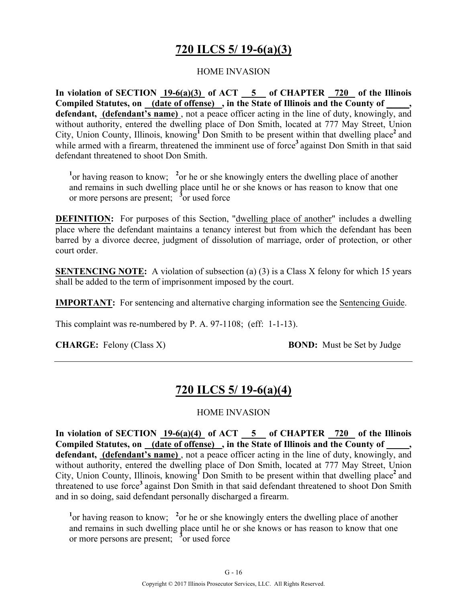# **720 ILCS 5/ 19-6(a)(3)**

### HOME INVASION

**In violation of SECTION 19-6(a)(3) of ACT 5 of CHAPTER 720 of the Illinois Compiled Statutes, on (date of offense) , in the State of Illinois and the County of \_\_\_\_\_, defendant, (defendant's name)** , not a peace officer acting in the line of duty, knowingly, and without authority, entered the dwelling place of Don Smith, located at 777 May Street, Union City, Union County, Illinois, knowing<sup>I</sup> Don Smith to be present within that dwelling place<sup>2</sup> and while armed with a firearm, threatened the imminent use of force<sup>3</sup> against Don Smith in that said defendant threatened to shoot Don Smith.

<sup>1</sup> or having reason to know; <sup>2</sup> or he or she knowingly enters the dwelling place of another and remains in such dwelling place until he or she knows or has reason to know that one or more persons are present; **<sup>3</sup>** or used force

**DEFINITION:** For purposes of this Section, "dwelling place of another" includes a dwelling place where the defendant maintains a tenancy interest but from which the defendant has been barred by a divorce decree, judgment of dissolution of marriage, order of protection, or other court order.

**SENTENCING NOTE:** A violation of subsection (a) (3) is a Class X felony for which 15 years shall be added to the term of imprisonment imposed by the court.

**IMPORTANT:** For sentencing and alternative charging information see the Sentencing Guide.

This complaint was re-numbered by P. A. 97-1108; (eff: 1-1-13).

**CHARGE:** Felony (Class X) **BOND:** Must be Set by Judge

# **720 ILCS 5/ 19-6(a)(4)**

### HOME INVASION

**In violation of SECTION 19-6(a)(4) of ACT 5 of CHAPTER 720 of the Illinois Compiled Statutes, on (date of offense) , in the State of Illinois and the County of \_\_\_\_\_, defendant, (defendant's name)** , not a peace officer acting in the line of duty, knowingly, and without authority, entered the dwelling place of Don Smith, located at 777 May Street, Union City, Union County, Illinois, knowing<sup>I</sup> Don Smith to be present within that dwelling place<sup>2</sup> and threatened to use force**<sup>3</sup>**against Don Smith in that said defendant threatened to shoot Don Smith and in so doing, said defendant personally discharged a firearm.

<sup>1</sup> or having reason to know; <sup>2</sup> or he or she knowingly enters the dwelling place of another and remains in such dwelling place until he or she knows or has reason to know that one or more persons are present; **<sup>3</sup>** or used force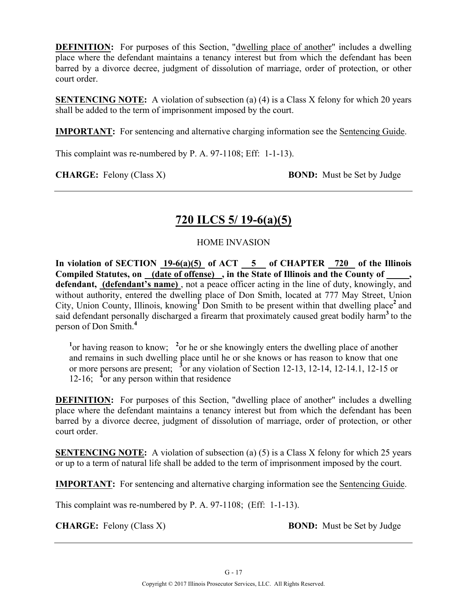**DEFINITION:** For purposes of this Section, "dwelling place of another" includes a dwelling place where the defendant maintains a tenancy interest but from which the defendant has been barred by a divorce decree, judgment of dissolution of marriage, order of protection, or other court order.

**SENTENCING NOTE:** A violation of subsection (a) (4) is a Class X felony for which 20 years shall be added to the term of imprisonment imposed by the court.

**IMPORTANT:** For sentencing and alternative charging information see the Sentencing Guide.

This complaint was re-numbered by P. A. 97-1108; Eff: 1-1-13).

**CHARGE:** Felony (Class X) **BOND:** Must be Set by Judge

# **720 ILCS 5/ 19-6(a)(5)**

HOME INVASION

In violation of SECTION  $19-6(a)(5)$  of ACT  $-5$  of CHAPTER  $720$  of the Illinois **Compiled Statutes, on (date of offense) , in the State of Illinois and the County of \_\_\_\_\_, defendant, (defendant's name)** , not a peace officer acting in the line of duty, knowingly, and without authority, entered the dwelling place of Don Smith, located at 777 May Street, Union City, Union County, Illinois, knowing<sup>I</sup> Don Smith to be present within that dwelling place<sup>2</sup> and said defendant personally discharged a firearm that proximately caused great bodily harm**<sup>3</sup>**to the person of Don Smith.**<sup>4</sup>**

<sup>1</sup> or having reason to know; <sup>2</sup> or he or she knowingly enters the dwelling place of another and remains in such dwelling place until he or she knows or has reason to know that one or more persons are present; **<sup>3</sup>** or any violation of Section 12-13, 12-14, 12-14.1, 12-15 or 12-16; <sup>4</sup> or any person within that residence

**DEFINITION:** For purposes of this Section, "dwelling place of another" includes a dwelling place where the defendant maintains a tenancy interest but from which the defendant has been barred by a divorce decree, judgment of dissolution of marriage, order of protection, or other court order.

**SENTENCING NOTE:** A violation of subsection (a) (5) is a Class X felony for which 25 years or up to a term of natural life shall be added to the term of imprisonment imposed by the court.

**IMPORTANT:** For sentencing and alternative charging information see the Sentencing Guide.

This complaint was re-numbered by P. A. 97-1108; (Eff: 1-1-13).

**CHARGE:** Felony (Class X) **BOND:** Must be Set by Judge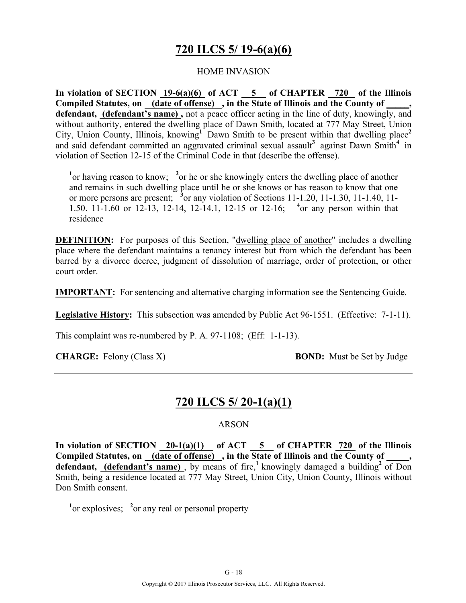# **720 ILCS 5/ 19-6(a)(6)**

### HOME INVASION

In violation of SECTION  $19-6(a)(6)$  of ACT  $-5$  of CHAPTER  $-720$  of the Illinois **Compiled Statutes, on (date of offense) , in the State of Illinois and the County of \_\_\_\_\_, defendant, (defendant's name) ,** not a peace officer acting in the line of duty, knowingly, and without authority, entered the dwelling place of Dawn Smith, located at 777 May Street, Union City, Union County, Illinois, knowing<sup>1</sup> Dawn Smith to be present within that dwelling place<sup>2</sup> and said defendant committed an aggravated criminal sexual assault**<sup>3</sup>** against Dawn Smith**4** in violation of Section 12-15 of the Criminal Code in that (describe the offense).

<sup>1</sup> or having reason to know; <sup>2</sup> or he or she knowingly enters the dwelling place of another and remains in such dwelling place until he or she knows or has reason to know that one or more persons are present; **<sup>3</sup>** or any violation of Sections 11-1.20, 11-1.30, 11-1.40, 11- 1.50. 11-1.60 or 12-13, 12-14, 12-14.1, 12-15 or 12-16; **<sup>4</sup>** or any person within that residence

**DEFINITION:** For purposes of this Section, "dwelling place of another" includes a dwelling place where the defendant maintains a tenancy interest but from which the defendant has been barred by a divorce decree, judgment of dissolution of marriage, order of protection, or other court order.

**IMPORTANT:** For sentencing and alternative charging information see the Sentencing Guide.

**Legislative History:** This subsection was amended by Public Act 96-1551. (Effective: 7-1-11).

This complaint was re-numbered by P. A. 97-1108; (Eff: 1-1-13).

**CHARGE:** Felony (Class X) **BOND:** Must be Set by Judge

### **720 ILCS 5/ 20-1(a)(1)**

#### ARSON

In violation of SECTION  $\frac{20-1(a)(1)}{2}$  of ACT  $\frac{5}{5}$  of CHAPTER  $\frac{720}{720}$  of the Illinois **Compiled Statutes, on (date of offense) , in the State of Illinois and the County of \_\_\_\_\_,**  defendant, (defendant's name), by means of fire,<sup>1</sup> knowingly damaged a building<sup>2</sup> of Don Smith, being a residence located at 777 May Street, Union City, Union County, Illinois without Don Smith consent.

<sup>1</sup> or explosives; <sup>2</sup> or any real or personal property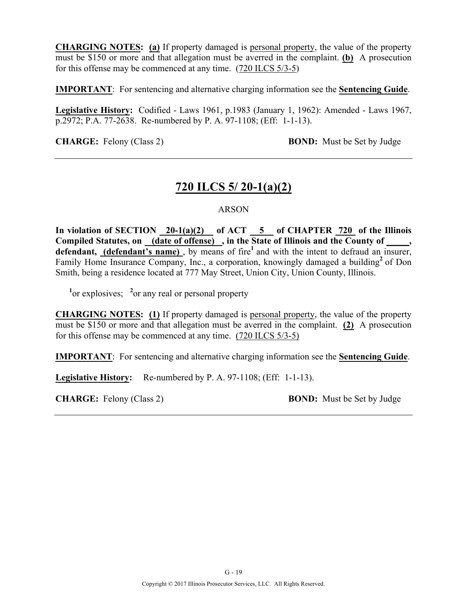**CHARGING NOTES: (a)** If property damaged is personal property, the value of the property must be \$150 or more and that allegation must be averred in the complaint. **(b)** A prosecution for this offense may be commenced at any time. (720 ILCS 5/3-5)

**IMPORTANT**: For sentencing and alternative charging information see the **Sentencing Guide**.

**Legislative History:** Codified - Laws 1961, p.1983 (January 1, 1962): Amended - Laws 1967, p.2972; P.A. 77-2638. Re-numbered by P. A. 97-1108; (Eff: 1-1-13).

**CHARGE:** Felony (Class 2) **BOND:** Must be Set by Judge

# **720 ILCS 5/ 20-1(a)(2)**

#### ARSON

**In violation of SECTION 20-1(a)(2) of ACT 5 of CHAPTER 720 of the Illinois**  Compiled Statutes, on (date of offense), in the State of Illinois and the County of \_\_\_\_, defendant, (defendant's name), by means of fire<sup>1</sup> and with the intent to defraud an insurer, Family Home Insurance Company, Inc., a corporation, knowingly damaged a building<sup>2</sup> of Don Smith, being a residence located at 777 May Street, Union City, Union County, Illinois.

 $\frac{1}{2}$  or explosives;  $\frac{2}{2}$  or any real or personal property

**CHARGING NOTES: (1)** If property damaged is personal property, the value of the property must be \$150 or more and that allegation must be averred in the complaint. **(2)** A prosecution for this offense may be commenced at any time. (720 ILCS 5/3-5)

**IMPORTANT**: For sentencing and alternative charging information see the **Sentencing Guide**.

Legislative History: Re-numbered by P. A. 97-1108; (Eff: 1-1-13).

**CHARGE:** Felony (Class 2) **BOND:** Must be Set by Judge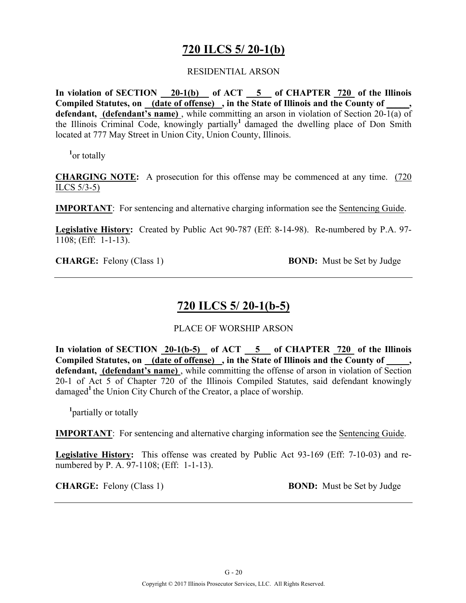### **720 ILCS 5/ 20-1(b)**

#### RESIDENTIAL ARSON

**In violation of SECTION 20-1(b) of ACT 5 of CHAPTER 720 of the Illinois**  Compiled Statutes, on (date of offense), in the State of Illinois and the County of **defendant, (defendant's name)**, while committing an arson in violation of Section 20- $\overline{1(a)}$  of the Illinois Criminal Code, knowingly partially**<sup>1</sup>**damaged the dwelling place of Don Smith located at 777 May Street in Union City, Union County, Illinois.

**1** or totally

**CHARGING NOTE:** A prosecution for this offense may be commenced at any time. (720 ILCS 5/3-5)

**IMPORTANT**: For sentencing and alternative charging information see the Sentencing Guide.

**Legislative History:** Created by Public Act 90-787 (Eff: 8-14-98). Re-numbered by P.A. 97- 1108; (Eff: 1-1-13).

**CHARGE:** Felony (Class 1) **BOND:** Must be Set by Judge

### **720 ILCS 5/ 20-1(b-5)**

#### PLACE OF WORSHIP ARSON

In violation of SECTION 20-1(b-5) of ACT 5 of CHAPTER 720 of the Illinois **Compiled Statutes, on (date of offense) , in the State of Illinois and the County of \_\_\_\_\_, defendant, (defendant's name)** , while committing the offense of arson in violation of Section 20-1 of Act 5 of Chapter 720 of the Illinois Compiled Statutes, said defendant knowingly damaged<sup>1</sup> the Union City Church of the Creator, a place of worship.

**1** partially or totally

**IMPORTANT**: For sentencing and alternative charging information see the Sentencing Guide.

**Legislative History:** This offense was created by Public Act 93-169 (Eff: 7-10-03) and renumbered by P. A. 97-1108; (Eff: 1-1-13).

**CHARGE:** Felony (Class 1) **BOND:** Must be Set by Judge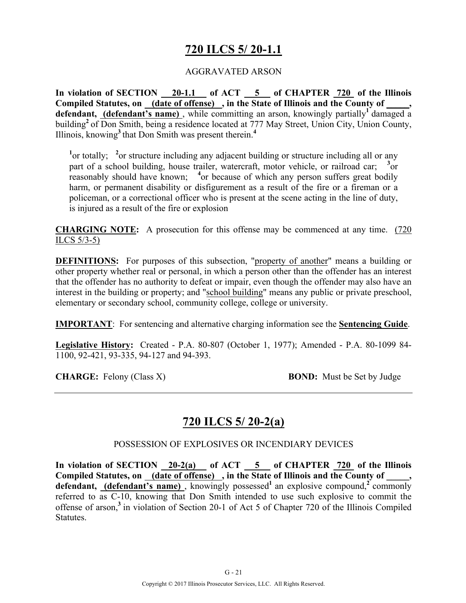# **720 ILCS 5/ 20-1.1**

### AGGRAVATED ARSON

**In violation of SECTION 20-1.1 of ACT 5 of CHAPTER 720 of the Illinois Compiled Statutes, on (date of offense) , in the State of Illinois and the County of \_\_\_\_\_, defendant, (defendant's name)**, while committing an arson, knowingly partially<sup>1</sup> damaged a building**<sup>2</sup>**of Don Smith, being a residence located at 777 May Street, Union City, Union County, Illinois, knowing**<sup>3</sup>**that Don Smith was present therein.**<sup>4</sup>**

<sup>1</sup> or totally; <sup>2</sup> or structure including any adjacent building or structure including all or any part of a school building, house trailer, watercraft, motor vehicle, or railroad car; <sup>3</sup> or reasonably should have known; <sup>4</sup> or because of which any person suffers great bodily harm, or permanent disability or disfigurement as a result of the fire or a fireman or a policeman, or a correctional officer who is present at the scene acting in the line of duty, is injured as a result of the fire or explosion

**CHARGING NOTE:** A prosecution for this offense may be commenced at any time. (720 ILCS 5/3-5)

**DEFINITIONS:** For purposes of this subsection, "property of another" means a building or other property whether real or personal, in which a person other than the offender has an interest that the offender has no authority to defeat or impair, even though the offender may also have an interest in the building or property; and "school building" means any public or private preschool, elementary or secondary school, community college, college or university.

**IMPORTANT**: For sentencing and alternative charging information see the **Sentencing Guide**.

**Legislative History:** Created - P.A. 80-807 (October 1, 1977); Amended - P.A. 80-1099 84- 1100, 92-421, 93-335, 94-127 and 94-393.

**CHARGE:** Felony (Class X) **BOND:** Must be Set by Judge

### **720 ILCS 5/ 20-2(a)**

#### POSSESSION OF EXPLOSIVES OR INCENDIARY DEVICES

In violation of SECTION 20-2(a) of ACT 5 of CHAPTER 720 of the Illinois Compiled Statutes, on (date of offense), in the State of Illinois and the County of **defendant,** (**defendant's name**), knowingly possessed<sup>1</sup> an explosive compound,<sup>2</sup> commonly referred to as C-10, knowing that Don Smith intended to use such explosive to commit the offense of arson,**<sup>3</sup>**in violation of Section 20-1 of Act 5 of Chapter 720 of the Illinois Compiled Statutes.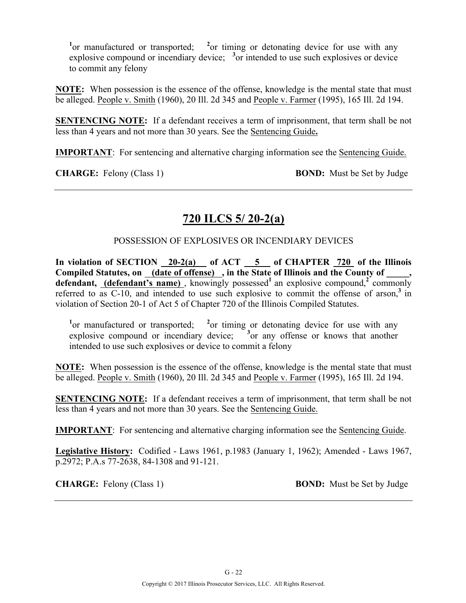<sup>1</sup> or manufactured or transported; <sup>2</sup> or timing or detonating device for use with any explosive compound or incendiary device; <sup>3</sup> or intended to use such explosives or device to commit any felony

**NOTE:** When possession is the essence of the offense, knowledge is the mental state that must be alleged. People v. Smith (1960), 20 Ill. 2d 345 and People v. Farmer (1995), 165 Ill. 2d 194.

**SENTENCING NOTE:** If a defendant receives a term of imprisonment, that term shall be not less than 4 years and not more than 30 years. See the Sentencing Guide**.**

**IMPORTANT**: For sentencing and alternative charging information see the Sentencing Guide.

**CHARGE:** Felony (Class 1) **BOND:** Must be Set by Judge

# **720 ILCS 5/ 20-2(a)**

### POSSESSION OF EXPLOSIVES OR INCENDIARY DEVICES

**In violation of SECTION 20-2(a) of ACT 5 of CHAPTER 720 of the Illinois Compiled Statutes, on (date of offense) , in the State of Illinois and the County of \_\_\_\_\_,**  defendant, **(defendant's name)**, knowingly possessed<sup>1</sup> an explosive compound,<sup>2</sup> commonly referred to as  $C-10$ , and intended to use such explosive to commit the offense of arson,<sup>3</sup> in violation of Section 20-1 of Act 5 of Chapter 720 of the Illinois Compiled Statutes.

<sup>1</sup> or manufactured or transported; <sup>2</sup> or timing or detonating device for use with any explosive compound or incendiary device;  $3$  or any offense or knows that another intended to use such explosives or device to commit a felony

**NOTE:** When possession is the essence of the offense, knowledge is the mental state that must be alleged. People v. Smith (1960), 20 Ill. 2d 345 and People v. Farmer (1995), 165 Ill. 2d 194.

**SENTENCING NOTE:** If a defendant receives a term of imprisonment, that term shall be not less than 4 years and not more than 30 years. See the Sentencing Guide.

**IMPORTANT**: For sentencing and alternative charging information see the Sentencing Guide.

**Legislative History:** Codified - Laws 1961, p.1983 (January 1, 1962); Amended - Laws 1967, p.2972; P.A.s 77-2638, 84-1308 and 91-121.

**CHARGE:** Felony (Class 1) **BOND:** Must be Set by Judge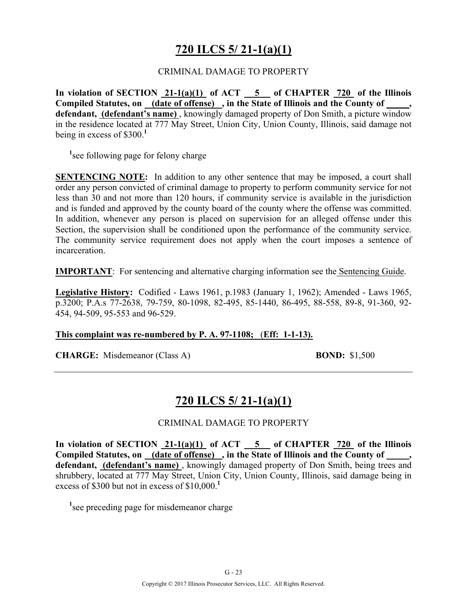# **720 ILCS 5/ 21-1(a)(1)**

#### CRIMINAL DAMAGE TO PROPERTY

**In violation of SECTION 21-1(a)(1) of ACT 5 of CHAPTER 720 of the Illinois Compiled Statutes, on (date of offense) , in the State of Illinois and the County of \_\_\_\_\_, defendant, (defendant's name)** , knowingly damaged property of Don Smith, a picture window in the residence located at 777 May Street, Union City, Union County, Illinois, said damage not being in excess of \$300.**<sup>1</sup>**

<sup>1</sup> see following page for felony charge

**SENTENCING NOTE:** In addition to any other sentence that may be imposed, a court shall order any person convicted of criminal damage to property to perform community service for not less than 30 and not more than 120 hours, if community service is available in the jurisdiction and is funded and approved by the county board of the county where the offense was committed. In addition, whenever any person is placed on supervision for an alleged offense under this Section, the supervision shall be conditioned upon the performance of the community service. The community service requirement does not apply when the court imposes a sentence of incarceration.

**IMPORTANT**: For sentencing and alternative charging information see the Sentencing Guide.

**Legislative History:** Codified - Laws 1961, p.1983 (January 1, 1962); Amended - Laws 1965, p.3200; P.A.s 77-2638, 79-759, 80-1098, 82-495, 85-1440, 86-495, 88-558, 89-8, 91-360, 92- 454, 94-509, 95-553 and 96-529.

#### **This complaint was re-numbered by P. A. 97-1108;** (**Eff: 1-1-13).**

**CHARGE:** Misdemeanor (Class A) **BOND:** \$1,500

### **720 ILCS 5/ 21-1(a)(1)**

#### CRIMINAL DAMAGE TO PROPERTY

**In violation of SECTION 21-1(a)(1) of ACT 5 of CHAPTER 720 of the Illinois**  Compiled Statutes, on (date of offense), in the State of Illinois and the County of **defendant, (defendant's name)** , knowingly damaged property of Don Smith, being trees and shrubbery, located at 777 May Street, Union City, Union County, Illinois, said damage being in excess of \$300 but not in excess of \$10,000.**<sup>1</sup>**

<sup>1</sup> see preceding page for misdemeanor charge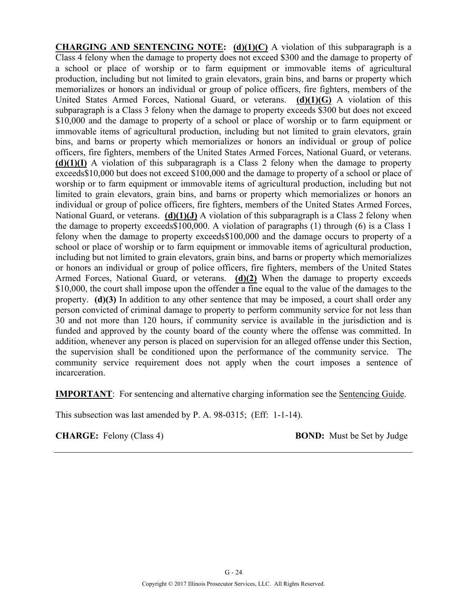**CHARGING AND SENTENCING NOTE: (d)(1)(C)** A violation of this subparagraph is a Class 4 felony when the damage to property does not exceed \$300 and the damage to property of a school or place of worship or to farm equipment or immovable items of agricultural production, including but not limited to grain elevators, grain bins, and barns or property which memorializes or honors an individual or group of police officers, fire fighters, members of the United States Armed Forces, National Guard, or veterans. **(d)(1)(G)** A violation of this subparagraph is a Class 3 felony when the damage to property exceeds \$300 but does not exceed \$10,000 and the damage to property of a school or place of worship or to farm equipment or immovable items of agricultural production, including but not limited to grain elevators, grain bins, and barns or property which memorializes or honors an individual or group of police officers, fire fighters, members of the United States Armed Forces, National Guard, or veterans. **(d)(1)(I)** A violation of this subparagraph is a Class 2 felony when the damage to property exceeds\$10,000 but does not exceed \$100,000 and the damage to property of a school or place of worship or to farm equipment or immovable items of agricultural production, including but not limited to grain elevators, grain bins, and barns or property which memorializes or honors an individual or group of police officers, fire fighters, members of the United States Armed Forces, National Guard, or veterans. **(d)(1)(J)** A violation of this subparagraph is a Class 2 felony when the damage to property exceeds\$100,000. A violation of paragraphs (1) through (6) is a Class 1 felony when the damage to property exceeds\$100,000 and the damage occurs to property of a school or place of worship or to farm equipment or immovable items of agricultural production, including but not limited to grain elevators, grain bins, and barns or property which memorializes or honors an individual or group of police officers, fire fighters, members of the United States Armed Forces, National Guard, or veterans. **(d)(2)** When the damage to property exceeds \$10,000, the court shall impose upon the offender a fine equal to the value of the damages to the property. **(d)(3)** In addition to any other sentence that may be imposed, a court shall order any person convicted of criminal damage to property to perform community service for not less than 30 and not more than 120 hours, if community service is available in the jurisdiction and is funded and approved by the county board of the county where the offense was committed. In addition, whenever any person is placed on supervision for an alleged offense under this Section, the supervision shall be conditioned upon the performance of the community service. The community service requirement does not apply when the court imposes a sentence of incarceration.

**IMPORTANT**: For sentencing and alternative charging information see the Sentencing Guide.

This subsection was last amended by P. A. 98-0315; (Eff: 1-1-14).

**CHARGE:** Felony (Class 4) **BOND:** Must be Set by Judge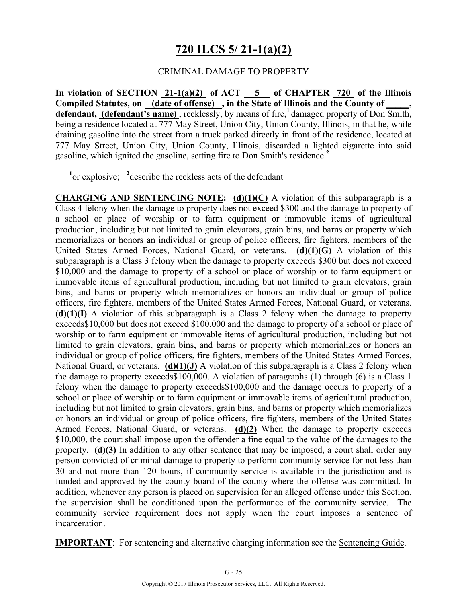# **720 ILCS 5/ 21-1(a)(2)**

#### CRIMINAL DAMAGE TO PROPERTY

**In violation of SECTION 21-1(a)(2) of ACT 5 of CHAPTER 720 of the Illinois**  Compiled Statutes, on (date of offense), in the State of Illinois and the County of **defendant, (defendant's name)** , recklessly, by means of fire,**<sup>1</sup>**damaged property of Don Smith, being a residence located at 777 May Street, Union City, Union County, Illinois, in that he, while draining gasoline into the street from a truck parked directly in front of the residence, located at 777 May Street, Union City, Union County, Illinois, discarded a lighted cigarette into said gasoline, which ignited the gasoline, setting fire to Don Smith's residence.**<sup>2</sup>**

<sup>1</sup><sup>or</sup> explosive; <sup>2</sup> describe the reckless acts of the defendant

**CHARGING AND SENTENCING NOTE: (d)(1)(C)** A violation of this subparagraph is a Class 4 felony when the damage to property does not exceed \$300 and the damage to property of a school or place of worship or to farm equipment or immovable items of agricultural production, including but not limited to grain elevators, grain bins, and barns or property which memorializes or honors an individual or group of police officers, fire fighters, members of the United States Armed Forces, National Guard, or veterans. **(d)(1)(G)** A violation of this subparagraph is a Class 3 felony when the damage to property exceeds \$300 but does not exceed \$10,000 and the damage to property of a school or place of worship or to farm equipment or immovable items of agricultural production, including but not limited to grain elevators, grain bins, and barns or property which memorializes or honors an individual or group of police officers, fire fighters, members of the United States Armed Forces, National Guard, or veterans. **(d)(1)(I)** A violation of this subparagraph is a Class 2 felony when the damage to property exceeds\$10,000 but does not exceed \$100,000 and the damage to property of a school or place of worship or to farm equipment or immovable items of agricultural production, including but not limited to grain elevators, grain bins, and barns or property which memorializes or honors an individual or group of police officers, fire fighters, members of the United States Armed Forces, National Guard, or veterans. **(d)(1)(J)** A violation of this subparagraph is a Class 2 felony when the damage to property exceeds\$100,000. A violation of paragraphs (1) through (6) is a Class 1 felony when the damage to property exceeds\$100,000 and the damage occurs to property of a school or place of worship or to farm equipment or immovable items of agricultural production, including but not limited to grain elevators, grain bins, and barns or property which memorializes or honors an individual or group of police officers, fire fighters, members of the United States Armed Forces, National Guard, or veterans. **(d)(2)** When the damage to property exceeds \$10,000, the court shall impose upon the offender a fine equal to the value of the damages to the property. **(d)(3)** In addition to any other sentence that may be imposed, a court shall order any person convicted of criminal damage to property to perform community service for not less than 30 and not more than 120 hours, if community service is available in the jurisdiction and is funded and approved by the county board of the county where the offense was committed. In addition, whenever any person is placed on supervision for an alleged offense under this Section, the supervision shall be conditioned upon the performance of the community service. The community service requirement does not apply when the court imposes a sentence of incarceration.

**IMPORTANT**: For sentencing and alternative charging information see the Sentencing Guide.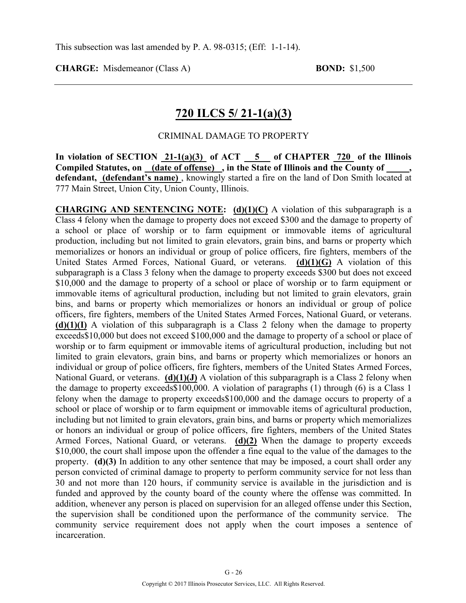### **720 ILCS 5/ 21-1(a)(3)**

#### CRIMINAL DAMAGE TO PROPERTY

In violation of SECTION  $21-1(a)(3)$  of ACT  $-5$  of CHAPTER  $720$  of the Illinois Compiled Statutes, on (date of offense), in the State of Illinois and the County of **defendant, (defendant's name)** , knowingly started a fire on the land of Don Smith located at 777 Main Street, Union City, Union County, Illinois.

**CHARGING AND SENTENCING NOTE: (d)(1)(C)** A violation of this subparagraph is a Class 4 felony when the damage to property does not exceed \$300 and the damage to property of a school or place of worship or to farm equipment or immovable items of agricultural production, including but not limited to grain elevators, grain bins, and barns or property which memorializes or honors an individual or group of police officers, fire fighters, members of the United States Armed Forces, National Guard, or veterans. **(d)(1)(G)** A violation of this subparagraph is a Class 3 felony when the damage to property exceeds \$300 but does not exceed \$10,000 and the damage to property of a school or place of worship or to farm equipment or immovable items of agricultural production, including but not limited to grain elevators, grain bins, and barns or property which memorializes or honors an individual or group of police officers, fire fighters, members of the United States Armed Forces, National Guard, or veterans. **(d)(1)(I)** A violation of this subparagraph is a Class 2 felony when the damage to property exceeds\$10,000 but does not exceed \$100,000 and the damage to property of a school or place of worship or to farm equipment or immovable items of agricultural production, including but not limited to grain elevators, grain bins, and barns or property which memorializes or honors an individual or group of police officers, fire fighters, members of the United States Armed Forces, National Guard, or veterans. **(d)(1)(J)** A violation of this subparagraph is a Class 2 felony when the damage to property exceeds\$100,000. A violation of paragraphs (1) through (6) is a Class 1 felony when the damage to property exceeds\$100,000 and the damage occurs to property of a school or place of worship or to farm equipment or immovable items of agricultural production, including but not limited to grain elevators, grain bins, and barns or property which memorializes or honors an individual or group of police officers, fire fighters, members of the United States Armed Forces, National Guard, or veterans. **(d)(2)** When the damage to property exceeds \$10,000, the court shall impose upon the offender a fine equal to the value of the damages to the property. **(d)(3)** In addition to any other sentence that may be imposed, a court shall order any person convicted of criminal damage to property to perform community service for not less than 30 and not more than 120 hours, if community service is available in the jurisdiction and is funded and approved by the county board of the county where the offense was committed. In addition, whenever any person is placed on supervision for an alleged offense under this Section, the supervision shall be conditioned upon the performance of the community service. The community service requirement does not apply when the court imposes a sentence of incarceration.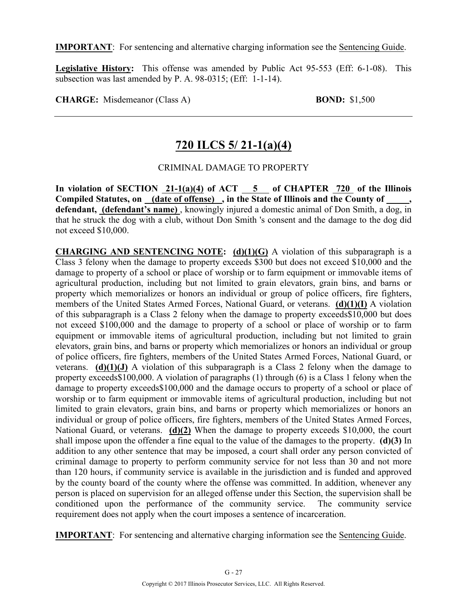**IMPORTANT**: For sentencing and alternative charging information see the Sentencing Guide.

**Legislative History:** This offense was amended by Public Act 95-553 (Eff: 6-1-08). This subsection was last amended by P. A. 98-0315; (Eff: 1-1-14).

**CHARGE:** Misdemeanor (Class A) **BOND:** \$1,500

### **720 ILCS 5/ 21-1(a)(4)**

### CRIMINAL DAMAGE TO PROPERTY

In violation of SECTION  $21-1(a)(4)$  of ACT  $-5$  of CHAPTER  $720$  of the Illinois Compiled Statutes, on (date of offense), in the State of Illinois and the County of defendant, (defendant's name), knowingly injured a domestic animal of Don Smith, a dog, in that he struck the dog with a club, without Don Smith 's consent and the damage to the dog did not exceed \$10,000.

**CHARGING AND SENTENCING NOTE: (d)(1)(G)** A violation of this subparagraph is a Class 3 felony when the damage to property exceeds \$300 but does not exceed \$10,000 and the damage to property of a school or place of worship or to farm equipment or immovable items of agricultural production, including but not limited to grain elevators, grain bins, and barns or property which memorializes or honors an individual or group of police officers, fire fighters, members of the United States Armed Forces, National Guard, or veterans. **(d)(1)(I)** A violation of this subparagraph is a Class 2 felony when the damage to property exceeds\$10,000 but does not exceed \$100,000 and the damage to property of a school or place of worship or to farm equipment or immovable items of agricultural production, including but not limited to grain elevators, grain bins, and barns or property which memorializes or honors an individual or group of police officers, fire fighters, members of the United States Armed Forces, National Guard, or veterans. **(d)(1)(J)** A violation of this subparagraph is a Class 2 felony when the damage to property exceeds\$100,000. A violation of paragraphs (1) through (6) is a Class 1 felony when the damage to property exceeds\$100,000 and the damage occurs to property of a school or place of worship or to farm equipment or immovable items of agricultural production, including but not limited to grain elevators, grain bins, and barns or property which memorializes or honors an individual or group of police officers, fire fighters, members of the United States Armed Forces, National Guard, or veterans. **(d)(2)** When the damage to property exceeds \$10,000, the court shall impose upon the offender a fine equal to the value of the damages to the property. **(d)(3)** In addition to any other sentence that may be imposed, a court shall order any person convicted of criminal damage to property to perform community service for not less than 30 and not more than 120 hours, if community service is available in the jurisdiction and is funded and approved by the county board of the county where the offense was committed. In addition, whenever any person is placed on supervision for an alleged offense under this Section, the supervision shall be conditioned upon the performance of the community service. The community service requirement does not apply when the court imposes a sentence of incarceration.

**IMPORTANT**: For sentencing and alternative charging information see the Sentencing Guide.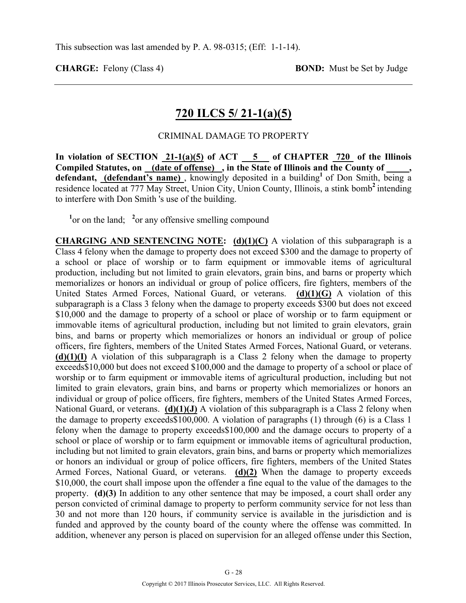### **720 ILCS 5/ 21-1(a)(5)**

#### CRIMINAL DAMAGE TO PROPERTY

In violation of SECTION  $\frac{21-1(a)(5)}{2}$  of ACT  $\frac{5}{2}$  of CHAPTER  $\frac{720}{2}$  of the Illinois Compiled Statutes, on <u>(date of offense)</u>, in the State of Illinois and the County of defendant, *(defendant's name)*, knowingly deposited in a building<sup>1</sup> of Don Smith, being a residence located at 777 May Street, Union City, Union County, Illinois, a stink bomb<sup>2</sup> intending to interfere with Don Smith 's use of the building.

<sup>1</sup> or on the land; <sup>2</sup> or any offensive smelling compound

**CHARGING AND SENTENCING NOTE: (d)(1)(C)** A violation of this subparagraph is a Class 4 felony when the damage to property does not exceed \$300 and the damage to property of a school or place of worship or to farm equipment or immovable items of agricultural production, including but not limited to grain elevators, grain bins, and barns or property which memorializes or honors an individual or group of police officers, fire fighters, members of the United States Armed Forces, National Guard, or veterans. **(d)(1)(G)** A violation of this subparagraph is a Class 3 felony when the damage to property exceeds \$300 but does not exceed \$10,000 and the damage to property of a school or place of worship or to farm equipment or immovable items of agricultural production, including but not limited to grain elevators, grain bins, and barns or property which memorializes or honors an individual or group of police officers, fire fighters, members of the United States Armed Forces, National Guard, or veterans. **(d)(1)(I)** A violation of this subparagraph is a Class 2 felony when the damage to property exceeds\$10,000 but does not exceed \$100,000 and the damage to property of a school or place of worship or to farm equipment or immovable items of agricultural production, including but not limited to grain elevators, grain bins, and barns or property which memorializes or honors an individual or group of police officers, fire fighters, members of the United States Armed Forces, National Guard, or veterans. **(d)(1)(J)** A violation of this subparagraph is a Class 2 felony when the damage to property exceeds\$100,000. A violation of paragraphs (1) through (6) is a Class 1 felony when the damage to property exceeds\$100,000 and the damage occurs to property of a school or place of worship or to farm equipment or immovable items of agricultural production, including but not limited to grain elevators, grain bins, and barns or property which memorializes or honors an individual or group of police officers, fire fighters, members of the United States Armed Forces, National Guard, or veterans. **(d)(2)** When the damage to property exceeds \$10,000, the court shall impose upon the offender a fine equal to the value of the damages to the property. **(d)(3)** In addition to any other sentence that may be imposed, a court shall order any person convicted of criminal damage to property to perform community service for not less than 30 and not more than 120 hours, if community service is available in the jurisdiction and is funded and approved by the county board of the county where the offense was committed. In addition, whenever any person is placed on supervision for an alleged offense under this Section,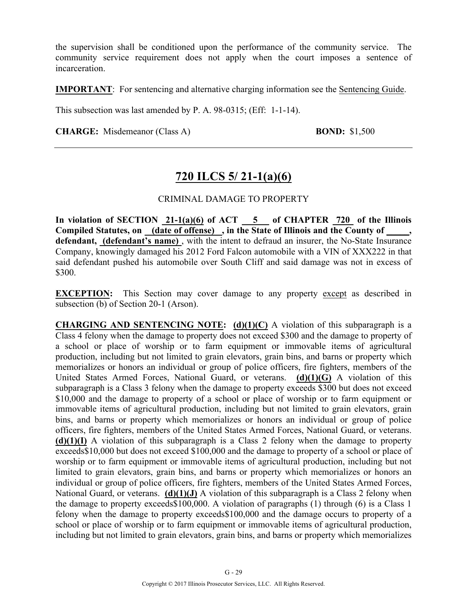the supervision shall be conditioned upon the performance of the community service. The community service requirement does not apply when the court imposes a sentence of incarceration.

**IMPORTANT**: For sentencing and alternative charging information see the Sentencing Guide.

This subsection was last amended by P. A. 98-0315; (Eff: 1-1-14).

**CHARGE:** Misdemeanor (Class A) **BOND:** \$1,500

### **720 ILCS 5/ 21-1(a)(6)**

#### CRIMINAL DAMAGE TO PROPERTY

**In violation of SECTION 21-1(a)(6) of ACT 5 of CHAPTER 720 of the Illinois Compiled Statutes, on (date of offense) , in the State of Illinois and the County of \_\_\_\_\_, defendant, (defendant's name)** , with the intent to defraud an insurer, the No-State Insurance Company, knowingly damaged his 2012 Ford Falcon automobile with a VIN of XXX222 in that said defendant pushed his automobile over South Cliff and said damage was not in excess of \$300.

**EXCEPTION:** This Section may cover damage to any property except as described in subsection (b) of Section 20-1 (Arson).

**CHARGING AND SENTENCING NOTE: (d)(1)(C)** A violation of this subparagraph is a Class 4 felony when the damage to property does not exceed \$300 and the damage to property of a school or place of worship or to farm equipment or immovable items of agricultural production, including but not limited to grain elevators, grain bins, and barns or property which memorializes or honors an individual or group of police officers, fire fighters, members of the United States Armed Forces, National Guard, or veterans. **(d)(1)(G)** A violation of this subparagraph is a Class 3 felony when the damage to property exceeds \$300 but does not exceed \$10,000 and the damage to property of a school or place of worship or to farm equipment or immovable items of agricultural production, including but not limited to grain elevators, grain bins, and barns or property which memorializes or honors an individual or group of police officers, fire fighters, members of the United States Armed Forces, National Guard, or veterans. **(d)(1)(I)** A violation of this subparagraph is a Class 2 felony when the damage to property exceeds\$10,000 but does not exceed \$100,000 and the damage to property of a school or place of worship or to farm equipment or immovable items of agricultural production, including but not limited to grain elevators, grain bins, and barns or property which memorializes or honors an individual or group of police officers, fire fighters, members of the United States Armed Forces, National Guard, or veterans. **(d)(1)(J)** A violation of this subparagraph is a Class 2 felony when the damage to property exceeds\$100,000. A violation of paragraphs (1) through (6) is a Class 1 felony when the damage to property exceeds\$100,000 and the damage occurs to property of a school or place of worship or to farm equipment or immovable items of agricultural production, including but not limited to grain elevators, grain bins, and barns or property which memorializes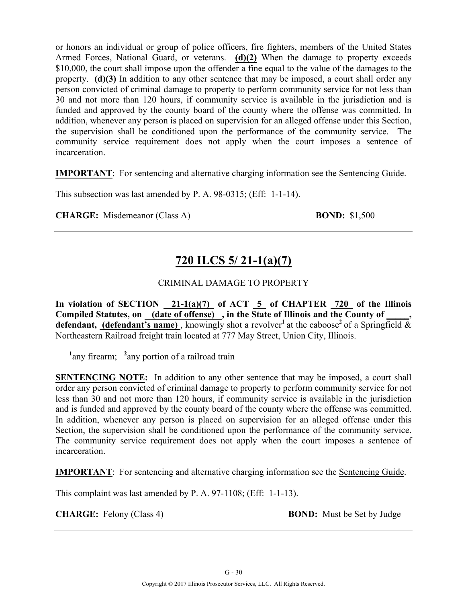or honors an individual or group of police officers, fire fighters, members of the United States Armed Forces, National Guard, or veterans. **(d)(2)** When the damage to property exceeds \$10,000, the court shall impose upon the offender a fine equal to the value of the damages to the property. **(d)(3)** In addition to any other sentence that may be imposed, a court shall order any person convicted of criminal damage to property to perform community service for not less than 30 and not more than 120 hours, if community service is available in the jurisdiction and is funded and approved by the county board of the county where the offense was committed. In addition, whenever any person is placed on supervision for an alleged offense under this Section, the supervision shall be conditioned upon the performance of the community service. The community service requirement does not apply when the court imposes a sentence of incarceration.

**IMPORTANT**: For sentencing and alternative charging information see the Sentencing Guide.

This subsection was last amended by P. A. 98-0315; (Eff: 1-1-14).

**CHARGE:** Misdemeanor (Class A) **BOND:** \$1,500

# **720 ILCS 5/ 21-1(a)(7)**

### CRIMINAL DAMAGE TO PROPERTY

**In violation of SECTION 21-1(a)(7) of ACT 5 of CHAPTER 720 of the Illinois Compiled Statutes, on (date of offense) , in the State of Illinois and the County of \_\_\_\_\_, defendant, (defendant's name)**, knowingly shot a revolver<sup>1</sup> at the caboose<sup>2</sup> of a Springfield  $\&$ Northeastern Railroad freight train located at 777 May Street, Union City, Illinois.

<sup>1</sup> any firearm; <sup>2</sup> any portion of a railroad train

**SENTENCING NOTE:** In addition to any other sentence that may be imposed, a court shall order any person convicted of criminal damage to property to perform community service for not less than 30 and not more than 120 hours, if community service is available in the jurisdiction and is funded and approved by the county board of the county where the offense was committed. In addition, whenever any person is placed on supervision for an alleged offense under this Section, the supervision shall be conditioned upon the performance of the community service. The community service requirement does not apply when the court imposes a sentence of incarceration.

**IMPORTANT**: For sentencing and alternative charging information see the Sentencing Guide.

This complaint was last amended by P. A. 97-1108; (Eff: 1-1-13).

**CHARGE:** Felony (Class 4) **BOND:** Must be Set by Judge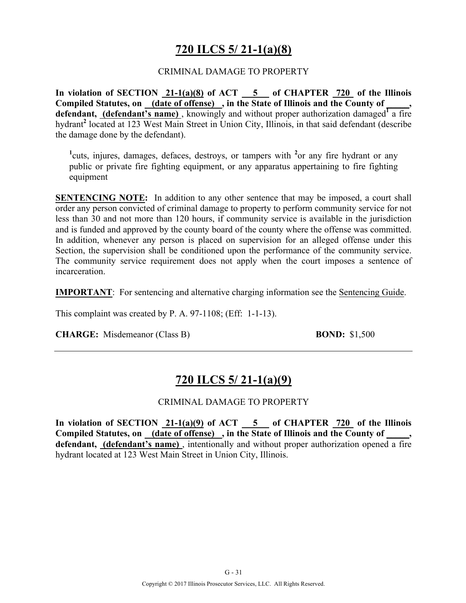# **720 ILCS 5/ 21-1(a)(8)**

### CRIMINAL DAMAGE TO PROPERTY

**In violation of SECTION 21-1(a)(8) of ACT 5 of CHAPTER 720 of the Illinois**  Compiled Statutes, on \_\_\_\_(date of offense) \_, in the State of Illinois and the County of **defendant, (defendant's name)** , knowingly and without proper authorization damaged**<sup>1</sup>** a fire hydrant**<sup>2</sup>** located at 123 West Main Street in Union City, Illinois, in that said defendant (describe the damage done by the defendant).

<sup>1</sup>cuts, injures, damages, defaces, destroys, or tampers with <sup>2</sup>or any fire hydrant or any public or private fire fighting equipment, or any apparatus appertaining to fire fighting equipment

**SENTENCING NOTE:** In addition to any other sentence that may be imposed, a court shall order any person convicted of criminal damage to property to perform community service for not less than 30 and not more than 120 hours, if community service is available in the jurisdiction and is funded and approved by the county board of the county where the offense was committed. In addition, whenever any person is placed on supervision for an alleged offense under this Section, the supervision shall be conditioned upon the performance of the community service. The community service requirement does not apply when the court imposes a sentence of incarceration.

**IMPORTANT**: For sentencing and alternative charging information see the Sentencing Guide.

This complaint was created by P. A. 97-1108; (Eff: 1-1-13).

**CHARGE:** Misdemeanor (Class B) **BOND:** \$1,500

# **720 ILCS 5/ 21-1(a)(9)**

### CRIMINAL DAMAGE TO PROPERTY

**In violation of SECTION 21-1(a)(9) of ACT 5 of CHAPTER 720 of the Illinois**  Compiled Statutes, on (date of offense), in the State of Illinois and the County of  $\cdot$ **defendant, (defendant's name)** , intentionally and without proper authorization opened a fire hydrant located at 123 West Main Street in Union City, Illinois.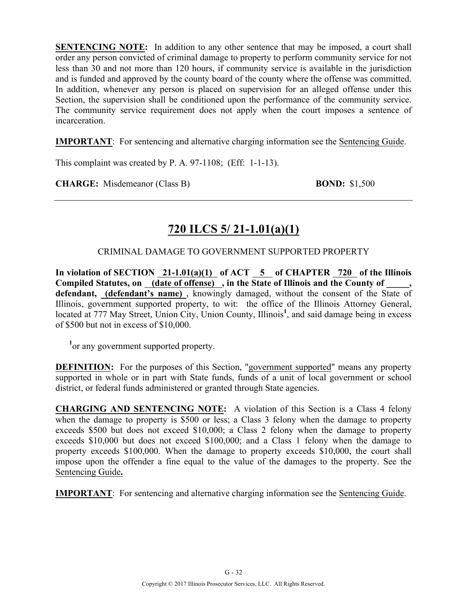**SENTENCING NOTE:** In addition to any other sentence that may be imposed, a court shall order any person convicted of criminal damage to property to perform community service for not less than 30 and not more than 120 hours, if community service is available in the jurisdiction and is funded and approved by the county board of the county where the offense was committed. In addition, whenever any person is placed on supervision for an alleged offense under this Section, the supervision shall be conditioned upon the performance of the community service. The community service requirement does not apply when the court imposes a sentence of incarceration.

**IMPORTANT**: For sentencing and alternative charging information see the Sentencing Guide.

This complaint was created by P. A. 97-1108; (Eff: 1-1-13).

**CHARGE:** Misdemeanor (Class B) **BOND:** \$1,500

# **720 ILCS 5/ 21-1.01(a)(1)**

### CRIMINAL DAMAGE TO GOVERNMENT SUPPORTED PROPERTY

In violation of SECTION 21-1.01(a)(1) of ACT 5 of CHAPTER 720 of the Illinois Compiled Statutes, on <u>(date of offense)</u>, in the State of Illinois and the County of **defendant, (defendant's name)** , knowingly damaged, without the consent of the State of Illinois, government supported property, to wit: the office of the Illinois Attorney General, located at 777 May Street, Union City, Union County, Illinois<sup>1</sup>, and said damage being in excess of \$500 but not in excess of \$10,000.

<sup>1</sup> or any government supported property.

**DEFINITION:** For the purposes of this Section, "government supported" means any property supported in whole or in part with State funds, funds of a unit of local government or school district, or federal funds administered or granted through State agencies.

**CHARGING AND SENTENCING NOTE:** A violation of this Section is a Class 4 felony when the damage to property is \$500 or less; a Class 3 felony when the damage to property exceeds \$500 but does not exceed \$10,000; a Class 2 felony when the damage to property exceeds \$10,000 but does not exceed \$100,000; and a Class 1 felony when the damage to property exceeds \$100,000. When the damage to property exceeds \$10,000, the court shall impose upon the offender a fine equal to the value of the damages to the property. See the Sentencing Guide**.**

**IMPORTANT**: For sentencing and alternative charging information see the Sentencing Guide.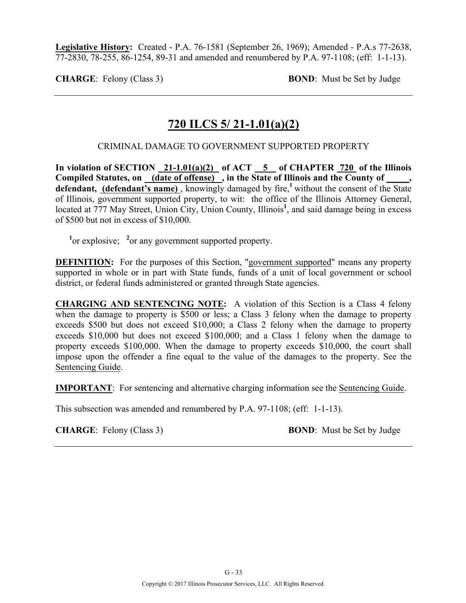**Legislative History:** Created - P.A. 76-1581 (September 26, 1969); Amended - P.A.s 77-2638, 77-2830, 78-255, 86-1254, 89-31 and amended and renumbered by P.A. 97-1108; (eff: 1-1-13).

**CHARGE**: Felony (Class 3) **BOND**: Must be Set by Judge

# **720 ILCS 5/ 21-1.01(a)(2)**

### CRIMINAL DAMAGE TO GOVERNMENT SUPPORTED PROPERTY

In violation of SECTION  $21-1.01(a)(2)$  of ACT  $\overline{5}$  of CHAPTER 720 of the Illinois **Compiled Statutes, on (date of offense) , in the State of Illinois and the County of \_\_\_\_\_,**  defendant, (defendant's name), knowingly damaged by fire,<sup>1</sup> without the consent of the State of Illinois, government supported property, to wit: the office of the Illinois Attorney General, located at 777 May Street, Union City, Union County, Illinois<sup>1</sup>, and said damage being in excess of \$500 but not in excess of \$10,000.

<sup>1</sup><sup>or</sup> explosive; <sup>2</sup><sup>or</sup> any government supported property.

**DEFINITION:** For the purposes of this Section, "government supported" means any property supported in whole or in part with State funds, funds of a unit of local government or school district, or federal funds administered or granted through State agencies.

**CHARGING AND SENTENCING NOTE:** A violation of this Section is a Class 4 felony when the damage to property is \$500 or less; a Class 3 felony when the damage to property exceeds \$500 but does not exceed \$10,000; a Class 2 felony when the damage to property exceeds \$10,000 but does not exceed \$100,000; and a Class 1 felony when the damage to property exceeds \$100,000. When the damage to property exceeds \$10,000, the court shall impose upon the offender a fine equal to the value of the damages to the property. See the Sentencing Guide.

**IMPORTANT**: For sentencing and alternative charging information see the Sentencing Guide.

This subsection was amended and renumbered by P.A. 97-1108; (eff: 1-1-13).

**CHARGE**: Felony (Class 3) **BOND**: Must be Set by Judge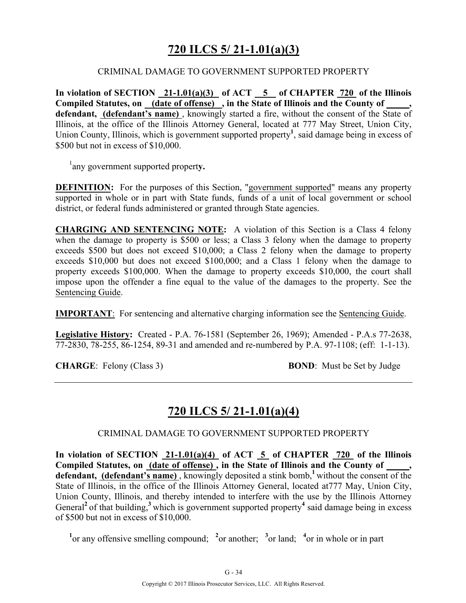# **720 ILCS 5/ 21-1.01(a)(3)**

### CRIMINAL DAMAGE TO GOVERNMENT SUPPORTED PROPERTY

**In violation of SECTION 21-1.01(a)(3) of ACT 5 of CHAPTER 720 of the Illinois Compiled Statutes, on (date of offense) , in the State of Illinois and the County of \_\_\_\_\_, defendant, (defendant's name)** , knowingly started a fire, without the consent of the State of Illinois, at the office of the Illinois Attorney General, located at 777 May Street, Union City, Union County, Illinois, which is government supported property**<sup>1</sup>** , said damage being in excess of \$500 but not in excess of \$10,000.

1 any government supported propert**y.**

**DEFINITION:** For the purposes of this Section, "government supported" means any property supported in whole or in part with State funds, funds of a unit of local government or school district, or federal funds administered or granted through State agencies.

**CHARGING AND SENTENCING NOTE:** A violation of this Section is a Class 4 felony when the damage to property is \$500 or less; a Class 3 felony when the damage to property exceeds \$500 but does not exceed \$10,000; a Class 2 felony when the damage to property exceeds \$10,000 but does not exceed \$100,000; and a Class 1 felony when the damage to property exceeds \$100,000. When the damage to property exceeds \$10,000, the court shall impose upon the offender a fine equal to the value of the damages to the property. See the Sentencing Guide.

**IMPORTANT**: For sentencing and alternative charging information see the Sentencing Guide.

**Legislative History:** Created - P.A. 76-1581 (September 26, 1969); Amended - P.A.s 77-2638, 77-2830, 78-255, 86-1254, 89-31 and amended and re-numbered by P.A. 97-1108; (eff: 1-1-13).

**CHARGE:** Felony (Class 3) **BOND**: Must be Set by Judge

# **720 ILCS 5/ 21-1.01(a)(4)**

### CRIMINAL DAMAGE TO GOVERNMENT SUPPORTED PROPERTY

**In violation of SECTION 21-1.01(a)(4) of ACT 5 of CHAPTER 720 of the Illinois Compiled Statutes, on (date of offense) , in the State of Illinois and the County of \_\_\_\_\_,**  defendant, (defendant's name), knowingly deposited a stink bomb,<sup>1</sup> without the consent of the State of Illinois, in the office of the Illinois Attorney General, located at777 May, Union City, Union County, Illinois, and thereby intended to interfere with the use by the Illinois Attorney General<sup>2</sup> of that building,<sup>3</sup> which is government supported property<sup>4</sup> said damage being in excess of \$500 but not in excess of \$10,000.

<sup>1</sup><sup>or</sup> any offensive smelling compound; <sup>2</sup><sup>or</sup> another; <sup>3</sup><sup>or</sup> land; <sup>4</sup><sup>or</sup> in whole or in part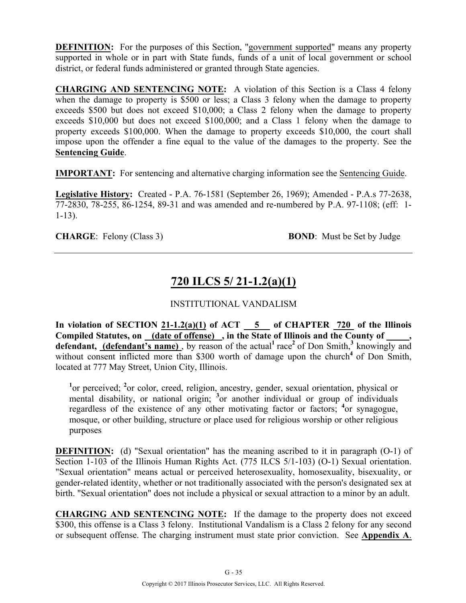**DEFINITION:** For the purposes of this Section, "government supported" means any property supported in whole or in part with State funds, funds of a unit of local government or school district, or federal funds administered or granted through State agencies.

**CHARGING AND SENTENCING NOTE:** A violation of this Section is a Class 4 felony when the damage to property is \$500 or less; a Class 3 felony when the damage to property exceeds \$500 but does not exceed \$10,000; a Class 2 felony when the damage to property exceeds \$10,000 but does not exceed \$100,000; and a Class 1 felony when the damage to property exceeds \$100,000. When the damage to property exceeds \$10,000, the court shall impose upon the offender a fine equal to the value of the damages to the property. See the **Sentencing Guide**.

**IMPORTANT:** For sentencing and alternative charging information see the Sentencing Guide.

**Legislative History:** Created - P.A. 76-1581 (September 26, 1969); Amended - P.A.s 77-2638, 77-2830, 78-255, 86-1254, 89-31 and was amended and re-numbered by P.A. 97-1108; (eff: 1- 1-13).

**CHARGE:** Felony (Class 3) **BOND**: Must be Set by Judge

# **720 ILCS 5/ 21-1.2(a)(1)**

### INSTITUTIONAL VANDALISM

In violation of SECTION  $21-1.2(a)(1)$  of ACT  $-5$  of CHAPTER  $720$  of the Illinois **Compiled Statutes, on (date of offense) , in the State of Illinois and the County of \_\_\_\_\_,**  defendant, (defendant's name), by reason of the actual<sup>1</sup> race<sup>2</sup> of Don Smith,<sup>3</sup> knowingly and without consent inflicted more than \$300 worth of damage upon the church<sup>4</sup> of Don Smith, located at 777 May Street, Union City, Illinois.

<sup>1</sup><sup>or</sup> perceived; <sup>2</sup><sup>or</sup> color, creed, religion, ancestry, gender, sexual orientation, physical or mental disability, or national origin; <sup>3</sup> or another individual or group of individuals regardless of the existence of any other motivating factor or factors; <sup>4</sup> or synagogue, mosque, or other building, structure or place used for religious worship or other religious purposes

**DEFINITION:** (d) "Sexual orientation" has the meaning ascribed to it in paragraph (O-1) of Section 1-103 of the Illinois Human Rights Act. (775 ILCS 5/1-103) (O-1) Sexual orientation. "Sexual orientation" means actual or perceived heterosexuality, homosexuality, bisexuality, or gender-related identity, whether or not traditionally associated with the person's designated sex at birth. "Sexual orientation" does not include a physical or sexual attraction to a minor by an adult.

**CHARGING AND SENTENCING NOTE:** If the damage to the property does not exceed \$300, this offense is a Class 3 felony. Institutional Vandalism is a Class 2 felony for any second or subsequent offense. The charging instrument must state prior conviction. See **Appendix A**.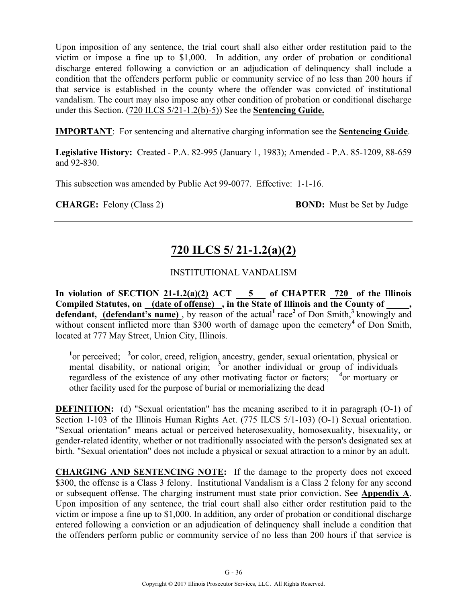Upon imposition of any sentence, the trial court shall also either order restitution paid to the victim or impose a fine up to \$1,000. In addition, any order of probation or conditional discharge entered following a conviction or an adjudication of delinquency shall include a condition that the offenders perform public or community service of no less than 200 hours if that service is established in the county where the offender was convicted of institutional vandalism. The court may also impose any other condition of probation or conditional discharge under this Section. (720 ILCS 5/21-1.2(b)-5)) See the **Sentencing Guide.**

**IMPORTANT**: For sentencing and alternative charging information see the **Sentencing Guide**.

**Legislative History:** Created - P.A. 82-995 (January 1, 1983); Amended - P.A. 85-1209, 88-659 and 92-830.

This subsection was amended by Public Act 99-0077. Effective: 1-1-16.

**CHARGE:** Felony (Class 2) **BOND:** Must be Set by Judge

# **720 ILCS 5/ 21-1.2(a)(2)**

### INSTITUTIONAL VANDALISM

In violation of SECTION  $21-1.2(a)(2)$  ACT  $\_\_5$  of CHAPTER  $\_\_720$  of the Illinois Compiled Statutes, on (date of offense), in the State of Illinois and the County of **defendant, (defendant's name)**, by reason of the actual<sup>1</sup> race<sup>2</sup> of Don Smith,<sup>3</sup> knowingly and without consent inflicted more than \$300 worth of damage upon the cemetery<sup>4</sup> of Don Smith, located at 777 May Street, Union City, Illinois.

<sup>1</sup>or perceived; <sup>2</sup> or color, creed, religion, ancestry, gender, sexual orientation, physical or mental disability, or national origin; <sup>3</sup> or another individual or group of individuals regardless of the existence of any other motivating factor or factors; <sup>4</sup> or mortuary or other facility used for the purpose of burial or memorializing the dead

**DEFINITION:** (d) "Sexual orientation" has the meaning ascribed to it in paragraph (O-1) of Section 1-103 of the Illinois Human Rights Act. (775 ILCS 5/1-103) (O-1) Sexual orientation. "Sexual orientation" means actual or perceived heterosexuality, homosexuality, bisexuality, or gender-related identity, whether or not traditionally associated with the person's designated sex at birth. "Sexual orientation" does not include a physical or sexual attraction to a minor by an adult.

**CHARGING AND SENTENCING NOTE:** If the damage to the property does not exceed \$300, the offense is a Class 3 felony. Institutional Vandalism is a Class 2 felony for any second or subsequent offense. The charging instrument must state prior conviction. See **Appendix A**. Upon imposition of any sentence, the trial court shall also either order restitution paid to the victim or impose a fine up to \$1,000. In addition, any order of probation or conditional discharge entered following a conviction or an adjudication of delinquency shall include a condition that the offenders perform public or community service of no less than 200 hours if that service is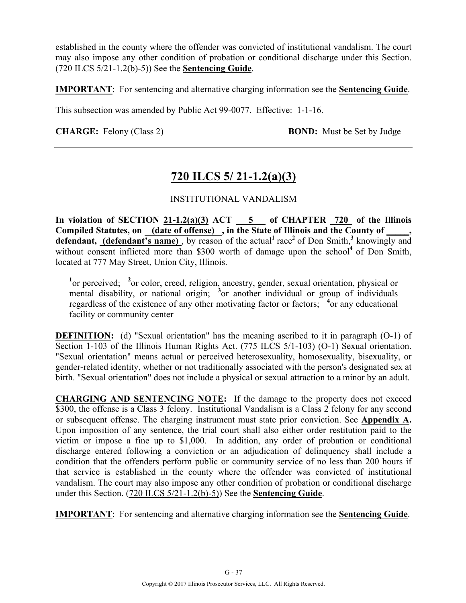established in the county where the offender was convicted of institutional vandalism. The court may also impose any other condition of probation or conditional discharge under this Section. (720 ILCS 5/21-1.2(b)-5)) See the **Sentencing Guide**.

**IMPORTANT**: For sentencing and alternative charging information see the **Sentencing Guide**.

This subsection was amended by Public Act 99-0077. Effective: 1-1-16.

**CHARGE:** Felony (Class 2) **BOND:** Must be Set by Judge

# **720 ILCS 5/ 21-1.2(a)(3)**

### INSTITUTIONAL VANDALISM

**In violation of SECTION 21-1.2(a)(3) ACT 5 of CHAPTER 720 of the Illinois Compiled Statutes, on (date of offense) , in the State of Illinois and the County of \_\_\_\_\_,**  defendant, (defendant's name), by reason of the actual<sup>1</sup> race<sup>2</sup> of Don Smith,<sup>3</sup> knowingly and without consent inflicted more than \$300 worth of damage upon the school<sup>4</sup> of Don Smith, located at 777 May Street, Union City, Illinois.

<sup>1</sup><sup>or</sup> perceived; <sup>2</sup><sup>or</sup> color, creed, religion, ancestry, gender, sexual orientation, physical or mental disability, or national origin; <sup>3</sup> or another individual or group of individuals regardless of the existence of any other motivating factor or factors; <sup>4</sup> or any educational facility or community center

**DEFINITION:** (d) "Sexual orientation" has the meaning ascribed to it in paragraph (O-1) of Section 1-103 of the Illinois Human Rights Act. (775 ILCS 5/1-103) (O-1) Sexual orientation. "Sexual orientation" means actual or perceived heterosexuality, homosexuality, bisexuality, or gender-related identity, whether or not traditionally associated with the person's designated sex at birth. "Sexual orientation" does not include a physical or sexual attraction to a minor by an adult.

**CHARGING AND SENTENCING NOTE:** If the damage to the property does not exceed \$300, the offense is a Class 3 felony. Institutional Vandalism is a Class 2 felony for any second or subsequent offense. The charging instrument must state prior conviction. See **Appendix A.** Upon imposition of any sentence, the trial court shall also either order restitution paid to the victim or impose a fine up to \$1,000. In addition, any order of probation or conditional discharge entered following a conviction or an adjudication of delinquency shall include a condition that the offenders perform public or community service of no less than 200 hours if that service is established in the county where the offender was convicted of institutional vandalism. The court may also impose any other condition of probation or conditional discharge under this Section. (720 ILCS 5/21-1.2(b)-5)) See the **Sentencing Guide**.

**IMPORTANT**: For sentencing and alternative charging information see the **Sentencing Guide**.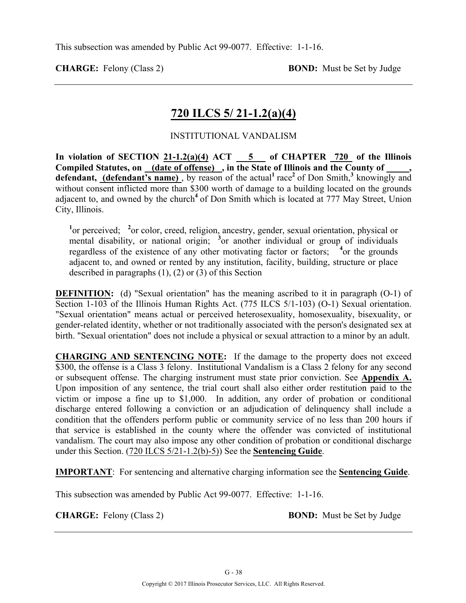**CHARGE:** Felony (Class 2) **BOND:** Must be Set by Judge

# **720 ILCS 5/ 21-1.2(a)(4)**

### INSTITUTIONAL VANDALISM

In violation of SECTION  $21-1.2(a)(4)$  ACT  $\overline{\hspace{1cm}}$  5 of CHAPTER 720 of the Illinois **Compiled Statutes, on (date of offense) , in the State of Illinois and the County of \_\_\_\_\_,**  defendant, **(defendant's name)**, by reason of the actual<sup>1</sup> race<sup>2</sup> of Don Smith,<sup>3</sup> knowingly and without consent inflicted more than \$300 worth of damage to a building located on the grounds adjacent to, and owned by the church<sup>4</sup> of Don Smith which is located at 777 May Street, Union City, Illinois.

<sup>1</sup><sup>or</sup> perceived; <sup>2</sup><sup>or</sup> color, creed, religion, ancestry, gender, sexual orientation, physical or mental disability, or national origin; <sup>3</sup> or another individual or group of individuals regardless of the existence of any other motivating factor or factors; <sup>4</sup> or the grounds adjacent to, and owned or rented by any institution, facility, building, structure or place described in paragraphs (1), (2) or (3) of this Section

**DEFINITION:** (d) "Sexual orientation" has the meaning ascribed to it in paragraph (O-1) of Section 1-103 of the Illinois Human Rights Act. (775 ILCS 5/1-103) (O-1) Sexual orientation. "Sexual orientation" means actual or perceived heterosexuality, homosexuality, bisexuality, or gender-related identity, whether or not traditionally associated with the person's designated sex at birth. "Sexual orientation" does not include a physical or sexual attraction to a minor by an adult.

**CHARGING AND SENTENCING NOTE:** If the damage to the property does not exceed \$300, the offense is a Class 3 felony. Institutional Vandalism is a Class 2 felony for any second or subsequent offense. The charging instrument must state prior conviction. See **Appendix A.** Upon imposition of any sentence, the trial court shall also either order restitution paid to the victim or impose a fine up to \$1,000. In addition, any order of probation or conditional discharge entered following a conviction or an adjudication of delinquency shall include a condition that the offenders perform public or community service of no less than 200 hours if that service is established in the county where the offender was convicted of institutional vandalism. The court may also impose any other condition of probation or conditional discharge under this Section. (720 ILCS 5/21-1.2(b)-5)) See the **Sentencing Guide**.

**IMPORTANT**: For sentencing and alternative charging information see the **Sentencing Guide**.

This subsection was amended by Public Act 99-0077. Effective: 1-1-16.

**CHARGE:** Felony (Class 2) **BOND:** Must be Set by Judge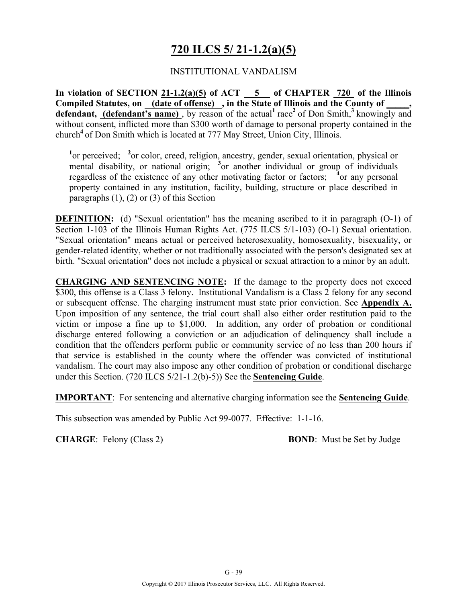# **720 ILCS 5/ 21-1.2(a)(5)**

#### INSTITUTIONAL VANDALISM

**In violation of SECTION 21-1.2(a)(5) of ACT 5 of CHAPTER 720 of the Illinois Compiled Statutes, on (date of offense) , in the State of Illinois and the County of \_\_\_\_\_, defendant, (defendant's name)**, by reason of the actual<sup>1</sup> race<sup>2</sup> of Don Smith,<sup>3</sup> knowingly and without consent, inflicted more than \$300 worth of damage to personal property contained in the church**<sup>4</sup>**of Don Smith which is located at 777 May Street, Union City, Illinois.

<sup>1</sup><sup>or</sup> perceived; <sup>2</sup><sup>or</sup> color, creed, religion, ancestry, gender, sexual orientation, physical or mental disability, or national origin; <sup>3</sup> or another individual or group of individuals regardless of the existence of any other motivating factor or factors; <sup>4</sup> or any personal property contained in any institution, facility, building, structure or place described in paragraphs  $(1)$ ,  $(2)$  or  $(3)$  of this Section

**DEFINITION:** (d) "Sexual orientation" has the meaning ascribed to it in paragraph (O-1) of Section 1-103 of the Illinois Human Rights Act. (775 ILCS 5/1-103) (O-1) Sexual orientation. "Sexual orientation" means actual or perceived heterosexuality, homosexuality, bisexuality, or gender-related identity, whether or not traditionally associated with the person's designated sex at birth. "Sexual orientation" does not include a physical or sexual attraction to a minor by an adult.

**CHARGING AND SENTENCING NOTE:** If the damage to the property does not exceed \$300, this offense is a Class 3 felony. Institutional Vandalism is a Class 2 felony for any second or subsequent offense. The charging instrument must state prior conviction. See **Appendix A.** Upon imposition of any sentence, the trial court shall also either order restitution paid to the victim or impose a fine up to \$1,000. In addition, any order of probation or conditional discharge entered following a conviction or an adjudication of delinquency shall include a condition that the offenders perform public or community service of no less than 200 hours if that service is established in the county where the offender was convicted of institutional vandalism. The court may also impose any other condition of probation or conditional discharge under this Section. (720 ILCS 5/21-1.2(b)-5)) See the **Sentencing Guide**.

**IMPORTANT**: For sentencing and alternative charging information see the **Sentencing Guide**.

This subsection was amended by Public Act 99-0077. Effective: 1-1-16.

**CHARGE**: Felony (Class 2) **BOND**: Must be Set by Judge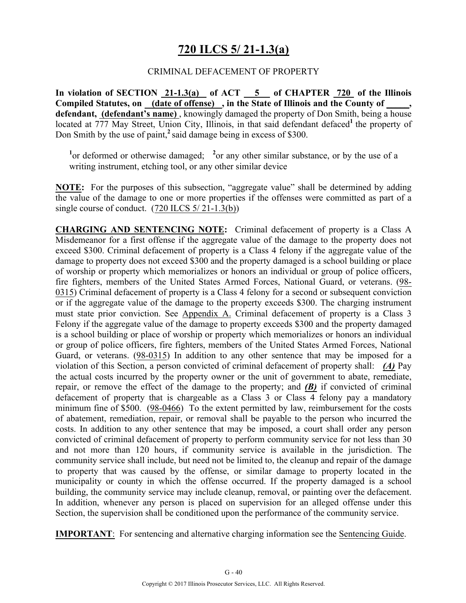# **720 ILCS 5/ 21-1.3(a)**

#### CRIMINAL DEFACEMENT OF PROPERTY

**In violation of SECTION 21-1.3(a) of ACT 5 of CHAPTER 720 of the Illinois**  Compiled Statutes, on (date of offense), in the State of Illinois and the County of defendant, (defendant's name), knowingly damaged the property of Don Smith, being a house located at 777 May Street, Union City, Illinois, in that said defendant defaced<sup>1</sup> the property of Don Smith by the use of paint,**<sup>2</sup>**said damage being in excess of \$300.

<sup>1</sup> or deformed or otherwise damaged; <sup>2</sup> or any other similar substance, or by the use of a writing instrument, etching tool, or any other similar device

**NOTE:** For the purposes of this subsection, "aggregate value" shall be determined by adding the value of the damage to one or more properties if the offenses were committed as part of a single course of conduct.  $(720$  ILCS  $5/21$ -1.3(b))

**CHARGING AND SENTENCING NOTE:** Criminal defacement of property is a Class A Misdemeanor for a first offense if the aggregate value of the damage to the property does not exceed \$300. Criminal defacement of property is a Class 4 felony if the aggregate value of the damage to property does not exceed \$300 and the property damaged is a school building or place of worship or property which memorializes or honors an individual or group of police officers, fire fighters, members of the United States Armed Forces, National Guard, or veterans. (98- 0315) Criminal defacement of property is a Class 4 felony for a second or subsequent conviction or if the aggregate value of the damage to the property exceeds \$300. The charging instrument must state prior conviction. See Appendix A. Criminal defacement of property is a Class 3 Felony if the aggregate value of the damage to property exceeds \$300 and the property damaged is a school building or place of worship or property which memorializes or honors an individual or group of police officers, fire fighters, members of the United States Armed Forces, National Guard, or veterans. (98-0315) In addition to any other sentence that may be imposed for a violation of this Section, a person convicted of criminal defacement of property shall: *(A)* Pay the actual costs incurred by the property owner or the unit of government to abate, remediate, repair, or remove the effect of the damage to the property; and *(B)* if convicted of criminal defacement of property that is chargeable as a Class 3 or Class 4 felony pay a mandatory minimum fine of \$500. (98-0466) To the extent permitted by law, reimbursement for the costs of abatement, remediation, repair, or removal shall be payable to the person who incurred the costs. In addition to any other sentence that may be imposed, a court shall order any person convicted of criminal defacement of property to perform community service for not less than 30 and not more than 120 hours, if community service is available in the jurisdiction. The community service shall include, but need not be limited to, the cleanup and repair of the damage to property that was caused by the offense, or similar damage to property located in the municipality or county in which the offense occurred. If the property damaged is a school building, the community service may include cleanup, removal, or painting over the defacement. In addition, whenever any person is placed on supervision for an alleged offense under this Section, the supervision shall be conditioned upon the performance of the community service.

**IMPORTANT**: For sentencing and alternative charging information see the Sentencing Guide.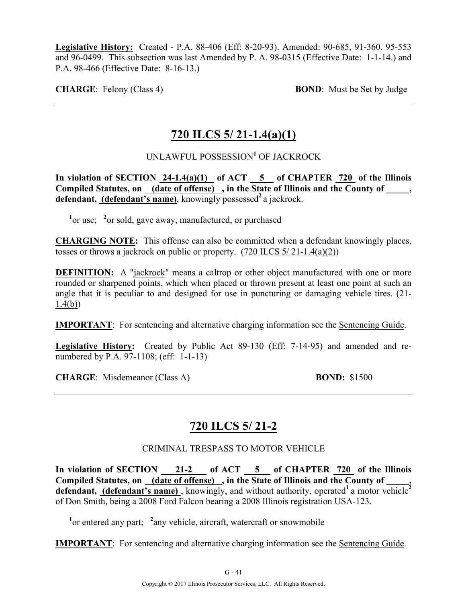**Legislative History:** Created - P.A. 88-406 (Eff: 8-20-93). Amended: 90-685, 91-360, 95-553 and 96-0499. This subsection was last Amended by P. A. 98-0315 (Effective Date: 1-1-14.) and P.A. 98-466 (Effective Date: 8-16-13.)

**CHARGE:** Felony (Class 4) **BOND**: Must be Set by Judge

# **720 ILCS 5/ 21-1.4(a)(1)**

### UNLAWFUL POSSESSION**<sup>1</sup>** OF JACKROCK

**In violation of SECTION 24-1.4(a)(1) of ACT 5 of CHAPTER 720 of the Illinois**  Compiled Statutes, on (date of offense), in the State of Illinois and the County of \_\_\_\_, **defendant, (defendant's name)**, knowingly possessed<sup>2</sup> a jackrock.

<sup>1</sup><sup>or use; <sup>2</sup><sup>or</sup> sold, gave away, manufactured, or purchased</sup>

**CHARGING NOTE:** This offense can also be committed when a defendant knowingly places, tosses or throws a jackrock on public or property.  $(720$  ILCS  $5/ 21$ -1.4(a)(2))

**DEFINITION:** A "jackrock" means a caltrop or other object manufactured with one or more rounded or sharpened points, which when placed or thrown present at least one point at such an angle that it is peculiar to and designed for use in puncturing or damaging vehicle tires. (21- 1.4(b))

**IMPORTANT**: For sentencing and alternative charging information see the Sentencing Guide.

**Legislative History:** Created by Public Act 89-130 (Eff: 7-14-95) and amended and renumbered by P.A. 97-1108; (eff: 1-1-13)

**CHARGE**: Misdemeanor (Class A) **BOND:** \$1500

# **720 ILCS 5/ 21-2**

CRIMINAL TRESPASS TO MOTOR VEHICLE

In violation of SECTION 21-2 of ACT 5 of CHAPTER 720 of the Illinois Compiled Statutes, on <u>(date of offense)</u>, in the State of Illinois and the County of \_\_\_\_, defendant, (defendant's name), knowingly, and without authority, operated<sup>1</sup> a motor vehicle<sup>2</sup> of Don Smith, being a 2008 Ford Falcon bearing a 2008 Illinois registration USA-123.

<sup>1</sup> or entered any part; <sup>2</sup> any vehicle, aircraft, watercraft or snowmobile

**IMPORTANT**: For sentencing and alternative charging information see the Sentencing Guide.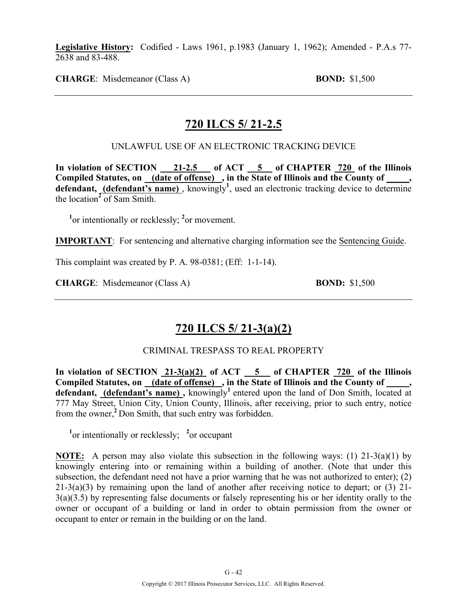**Legislative History:** Codified - Laws 1961, p.1983 (January 1, 1962); Amended - P.A.s 77- 2638 and 83-488.

**CHARGE**: Misdemeanor (Class A) **BOND:** \$1,500

### **720 ILCS 5/ 21-2.5**

UNLAWFUL USE OF AN ELECTRONIC TRACKING DEVICE

In violation of SECTION 21-2.5 of ACT 5 of CHAPTER 720 of the Illinois **Compiled Statutes, on (date of offense) , in the State of Illinois and the County of \_\_\_\_\_,**  defendant, (defendant's name), knowingly<sup>1</sup>, used an electronic tracking device to determine the location**<sup>2</sup>** of Sam Smith.

<sup>1</sup> or intentionally or recklessly; <sup>2</sup> or movement.

**IMPORTANT**: For sentencing and alternative charging information see the Sentencing Guide.

This complaint was created by P. A. 98-0381; (Eff: 1-1-14).

**CHARGE**: Misdemeanor (Class A) **BOND:** \$1,500

# **720 ILCS 5/ 21-3(a)(2)**

#### CRIMINAL TRESPASS TO REAL PROPERTY

In violation of SECTION  $21-3(a)(2)$  of ACT  $5$  of CHAPTER  $720$  of the Illinois Compiled Statutes, on (date of offense), in the State of Illinois and the County of defendant, (defendant's name), knowingly<sup>1</sup> entered upon the land of Don Smith, located at 777 May Street, Union City, Union County, Illinois, after receiving, prior to such entry, notice from the owner,**<sup>2</sup>**Don Smith, that such entry was forbidden.

<sup>1</sup> or intentionally or recklessly; <sup>2</sup> or occupant

**NOTE:** A person may also violate this subsection in the following ways: (1) 21-3(a)(1) by knowingly entering into or remaining within a building of another. (Note that under this subsection, the defendant need not have a prior warning that he was not authorized to enter); (2) 21-3(a)(3) by remaining upon the land of another after receiving notice to depart; or (3) 21-  $3(a)(3.5)$  by representing false documents or falsely representing his or her identity orally to the owner or occupant of a building or land in order to obtain permission from the owner or occupant to enter or remain in the building or on the land.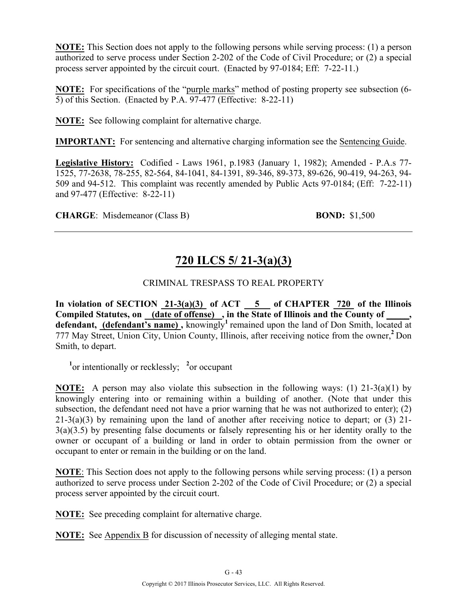**NOTE:** This Section does not apply to the following persons while serving process: (1) a person authorized to serve process under Section 2-202 of the Code of Civil Procedure; or (2) a special process server appointed by the circuit court. (Enacted by 97-0184; Eff: 7-22-11.)

**NOTE:** For specifications of the "purple marks" method of posting property see subsection (6- 5) of this Section. (Enacted by P.A. 97-477 (Effective: 8-22-11)

**NOTE:** See following complaint for alternative charge.

**IMPORTANT:** For sentencing and alternative charging information see the Sentencing Guide.

**Legislative History:** Codified - Laws 1961, p.1983 (January 1, 1982); Amended - P.A.s 77- 1525, 77-2638, 78-255, 82-564, 84-1041, 84-1391, 89-346, 89-373, 89-626, 90-419, 94-263, 94- 509 and 94-512. This complaint was recently amended by Public Acts 97-0184; (Eff: 7-22-11) and 97-477 (Effective: 8-22-11)

**CHARGE**: Misdemeanor (Class B) **BOND:** \$1,500

# **720 ILCS 5/ 21-3(a)(3)**

### CRIMINAL TRESPASS TO REAL PROPERTY

In violation of SECTION 21-3(a)(3) of ACT 5 of CHAPTER 720 of the Illinois **Compiled Statutes, on (date of offense) , in the State of Illinois and the County of \_\_\_\_\_,**  defendant, (defendant's name), knowingly<sup>1</sup> remained upon the land of Don Smith, located at 777 May Street, Union City, Union County, Illinois, after receiving notice from the owner,**<sup>2</sup>**Don Smith, to depart.

<sup>1</sup><sup>or</sup> intentionally or recklessly; <sup>2</sup><sup>or</sup> occupant

**NOTE:** A person may also violate this subsection in the following ways: (1) 21-3(a)(1) by knowingly entering into or remaining within a building of another. (Note that under this subsection, the defendant need not have a prior warning that he was not authorized to enter); (2) 21-3(a)(3) by remaining upon the land of another after receiving notice to depart; or (3) 21- 3(a)(3.5) by presenting false documents or falsely representing his or her identity orally to the owner or occupant of a building or land in order to obtain permission from the owner or occupant to enter or remain in the building or on the land.

**NOTE**: This Section does not apply to the following persons while serving process: (1) a person authorized to serve process under Section 2-202 of the Code of Civil Procedure; or (2) a special process server appointed by the circuit court.

**NOTE:** See preceding complaint for alternative charge.

**NOTE:** See Appendix B for discussion of necessity of alleging mental state.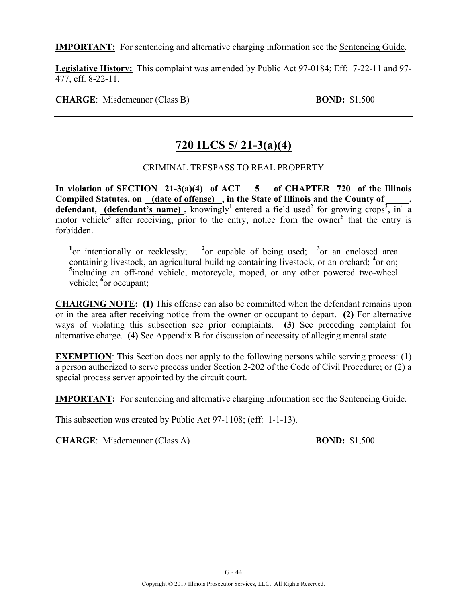**IMPORTANT:** For sentencing and alternative charging information see the Sentencing Guide.

**Legislative History:** This complaint was amended by Public Act 97-0184; Eff: 7-22-11 and 97- 477, eff. 8-22-11.

**CHARGE**: Misdemeanor (Class B) **BOND:** \$1,500

# **720 ILCS 5/ 21-3(a)(4)**

### CRIMINAL TRESPASS TO REAL PROPERTY

In violation of SECTION 21-3(a)(4) of ACT 5 of CHAPTER 720 of the Illinois Compiled Statutes, on (date of offense), in the State of Illinois and the County of **defendant, (defendant's name)**, knowingly<sup>1</sup> entered a field used<sup>2</sup> for growing crops<sup>3</sup>, in<sup>4</sup> a motor vehicle<sup>5</sup> after receiving, prior to the entry, notice from the owner<sup>6</sup> that the entry is forbidden.

<sup>1</sup><sup>or</sup> intentionally or recklessly; <sup>2</sup><sup>or</sup> capable of being used; <sup>3</sup><sup>or</sup> an enclosed area containing livestock, an agricultural building containing livestock, or an orchard; <sup>4</sup>or on; <sup>5</sup>including an off-road vehicle, motorcycle, moped, or any other powered two-wheel vehicle; <sup>6</sup><sub>or</sub> occupant;

**CHARGING NOTE: (1)** This offense can also be committed when the defendant remains upon or in the area after receiving notice from the owner or occupant to depart. **(2)** For alternative ways of violating this subsection see prior complaints. **(3)** See preceding complaint for alternative charge. **(4)** See Appendix B for discussion of necessity of alleging mental state.

**EXEMPTION:** This Section does not apply to the following persons while serving process: (1) a person authorized to serve process under Section 2-202 of the Code of Civil Procedure; or (2) a special process server appointed by the circuit court.

**IMPORTANT:** For sentencing and alternative charging information see the Sentencing Guide.

This subsection was created by Public Act 97-1108; (eff: 1-1-13).

**CHARGE**: Misdemeanor (Class A) **BOND:** \$1,500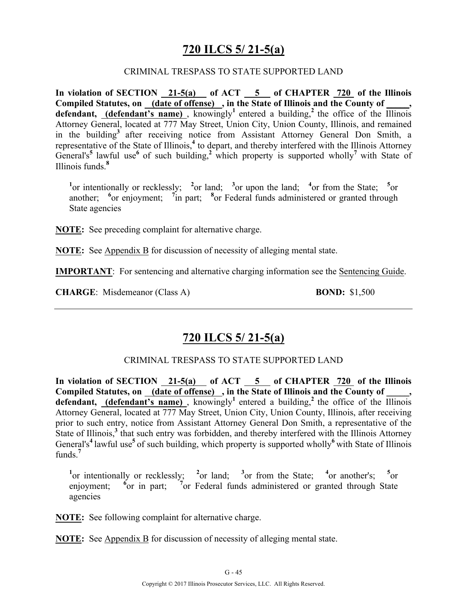### **720 ILCS 5/ 21-5(a)**

#### CRIMINAL TRESPASS TO STATE SUPPORTED LAND

**In violation of SECTION 21-5(a) of ACT 5 of CHAPTER 720 of the Illinois**  Compiled Statutes, on **(date of offense)**, in the State of Illinois and the County of **defendant, (defendant's name)**, knowingly<sup>1</sup> entered a building,<sup>2</sup> the office of the Illinois Attorney General, located at 777 May Street, Union City, Union County, Illinois, and remained in the building**<sup>3</sup>**after receiving notice from Assistant Attorney General Don Smith, a representative of the State of Illinois,**<sup>4</sup>** to depart, and thereby interfered with the Illinois Attorney General's<sup>5</sup> lawful use<sup>6</sup> of such building,<sup>2</sup> which property is supported wholly<sup>7</sup> with State of Illinois funds.**<sup>8</sup>**

<sup>1</sup><sub>or</sub> intentionally or recklessly; <sup>2</sup><sub>or</sub> land; <sup>3</sup><sub>or</sub> upon the land; <sup>4</sup><sub>or</sub> from the State; <sup>5</sup><sub>or</sub> another; <sup>6</sup> or enjoyment; <sup>7</sup> in part; <sup>8</sup> or Federal funds administered or granted through State agencies

**NOTE:** See preceding complaint for alternative charge.

**NOTE:** See Appendix B for discussion of necessity of alleging mental state.

**IMPORTANT**: For sentencing and alternative charging information see the Sentencing Guide.

**CHARGE**: Misdemeanor (Class A) **BOND:** \$1,500

### **720 ILCS 5/ 21-5(a)**

### CRIMINAL TRESPASS TO STATE SUPPORTED LAND

In violation of SECTION 21-5(a) of ACT 5 of CHAPTER 720 of the Illinois Compiled Statutes, on (date of offense), in the State of Illinois and the County of **defendant,** (defendant's name), knowingly<sup>1</sup> entered a building,<sup>2</sup> the office of the Illinois Attorney General, located at 777 May Street, Union City, Union County, Illinois, after receiving prior to such entry, notice from Assistant Attorney General Don Smith, a representative of the State of Illinois,**<sup>3</sup>** that such entry was forbidden, and thereby interfered with the Illinois Attorney General's<sup>4</sup> lawful use<sup>5</sup> of such building, which property is supported wholly<sup>6</sup> with State of Illinois funds $^7$ 

<sup>1</sup> $\text{or}$  intentionally or recklessly; <sup>2</sup> $\text{or}$  land; <sup>3</sup> $\text{or}$  from the State; <sup>4</sup> $\text{or}$  another's; <sup>5</sup> $\text{or}$ enjoyment; **<sup>6</sup>** or in part; <sup>7</sup> or Federal funds administered or granted through State agencies

**NOTE:** See following complaint for alternative charge.

**NOTE:** See Appendix B for discussion of necessity of alleging mental state.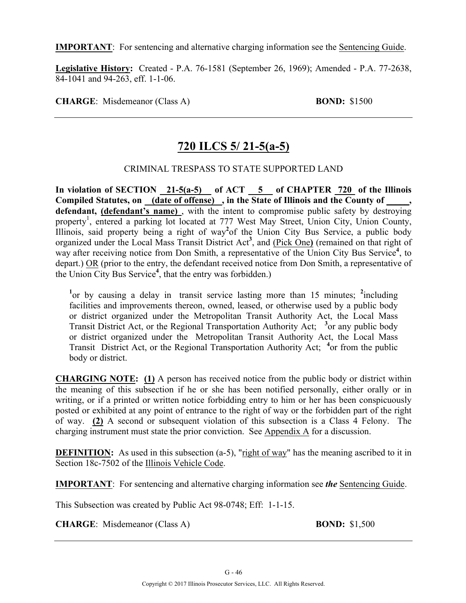**IMPORTANT**: For sentencing and alternative charging information see the Sentencing Guide.

**Legislative History:** Created - P.A. 76-1581 (September 26, 1969); Amended - P.A. 77-2638, 84-1041 and 94-263, eff. 1-1-06.

**CHARGE**: Misdemeanor (Class A) **BOND:** \$1500

# **720 ILCS 5/ 21-5(a-5)**

### CRIMINAL TRESPASS TO STATE SUPPORTED LAND

**In violation of SECTION 21-5(a-5) of ACT 5 of CHAPTER 720 of the Illinois**  Compiled Statutes, on (date of offense), in the State of Illinois and the County of defendant, (defendant's name), with the intent to compromise public safety by destroying property<sup>1</sup>, entered a parking lot located at 777 West May Street, Union City, Union County, Illinois, said property being a right of way**<sup>2</sup>** of the Union City Bus Service, a public body organized under the Local Mass Transit District Act**<sup>3</sup>** , and (Pick One**)** (remained on that right of way after receiving notice from Don Smith, a representative of the Union City Bus Service<sup>4</sup>, to depart.) OR (prior to the entry, the defendant received notice from Don Smith, a representative of the Union City Bus Service**<sup>4</sup>** , that the entry was forbidden.)

<sup>1</sup> or by causing a delay in transit service lasting more than 15 minutes; <sup>2</sup>including facilities and improvements thereon, owned, leased, or otherwise used by a public body or district organized under the Metropolitan Transit Authority Act, the Local Mass Transit District Act, or the Regional Transportation Authority Act; **<sup>3</sup>** or any public body or district organized under the Metropolitan Transit Authority Act, the Local Mass Transit District Act, or the Regional Transportation Authority Act; **<sup>4</sup>** or from the public body or district.

**CHARGING NOTE: (1)** A person has received notice from the public body or district within the meaning of this subsection if he or she has been notified personally, either orally or in writing, or if a printed or written notice forbidding entry to him or her has been conspicuously posted or exhibited at any point of entrance to the right of way or the forbidden part of the right of way. **(2)** A second or subsequent violation of this subsection is a Class 4 Felony. The charging instrument must state the prior conviction. See Appendix A for a discussion.

**DEFINITION:** As used in this subsection (a-5), "right of way" has the meaning ascribed to it in Section 18c-7502 of the Illinois Vehicle Code.

**IMPORTANT**: For sentencing and alternative charging information see *the* Sentencing Guide.

This Subsection was created by Public Act 98-0748; Eff: 1-1-15.

**CHARGE**: Misdemeanor (Class A) **BOND:** \$1,500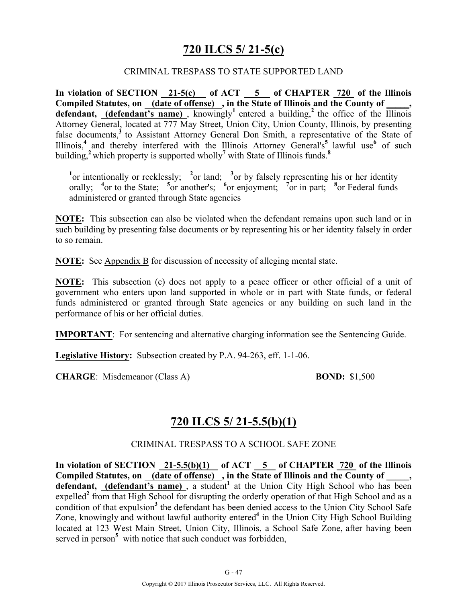### **720 ILCS 5/ 21-5(c)**

#### CRIMINAL TRESPASS TO STATE SUPPORTED LAND

**In violation of SECTION 21-5(c) of ACT 5 of CHAPTER 720 of the Illinois**  Compiled Statutes, on (date of offense), in the State of Illinois and the County of **defendant, (defendant's name)**, knowingly<sup>1</sup> entered a building,<sup>2</sup> the office of the Illinois Attorney General, located at 777 May Street, Union City, Union County, Illinois, by presenting false documents,<sup>3</sup> to Assistant Attorney General Don Smith, a representative of the State of Illinois,**<sup>4</sup>**and thereby interfered with the Illinois Attorney General's**<sup>5</sup>**lawful use**<sup>6</sup>** of such building,**<sup>2</sup>**which property is supported wholly**<sup>7</sup>** with State of Illinois funds.**<sup>8</sup>**

<sup>1</sup><sup>or</sup> intentionally or recklessly; <sup>2</sup><sup>or</sup> land; <sup>3</sup><sup>or</sup> by falsely representing his or her identity orally; <sup>4</sup> or to the State; <sup>5</sup> or another's; <sup>6</sup> or enjoyment; <sup>7</sup> or in part; <sup>8</sup> or Federal funds administered or granted through State agencies

**NOTE:** This subsection can also be violated when the defendant remains upon such land or in such building by presenting false documents or by representing his or her identity falsely in order to so remain.

**NOTE:** See Appendix B for discussion of necessity of alleging mental state.

**NOTE:** This subsection (c) does not apply to a peace officer or other official of a unit of government who enters upon land supported in whole or in part with State funds, or federal funds administered or granted through State agencies or any building on such land in the performance of his or her official duties.

**IMPORTANT**: For sentencing and alternative charging information see the Sentencing Guide.

**Legislative History:** Subsection created by P.A. 94-263, eff. 1-1-06.

**CHARGE**: Misdemeanor (Class A) **BOND:** \$1,500

### **720 ILCS 5/ 21-5.5(b)(1)**

CRIMINAL TRESPASS TO A SCHOOL SAFE ZONE

In violation of SECTION 21-5.5(b)(1) of ACT 5 of CHAPTER 720 of the Illinois **Compiled Statutes, on (date of offense) , in the State of Illinois and the County of \_\_\_\_\_,**  defendant, (defendant's name), a student<sup>1</sup> at the Union City High School who has been expelled<sup>2</sup> from that High School for disrupting the orderly operation of that High School and as a condition of that expulsion<sup>3</sup> the defendant has been denied access to the Union City School Safe Zone, knowingly and without lawful authority entered**<sup>4</sup>** in the Union City High School Building located at 123 West Main Street, Union City, Illinois, a School Safe Zone, after having been served in person<sup>5</sup> with notice that such conduct was forbidden,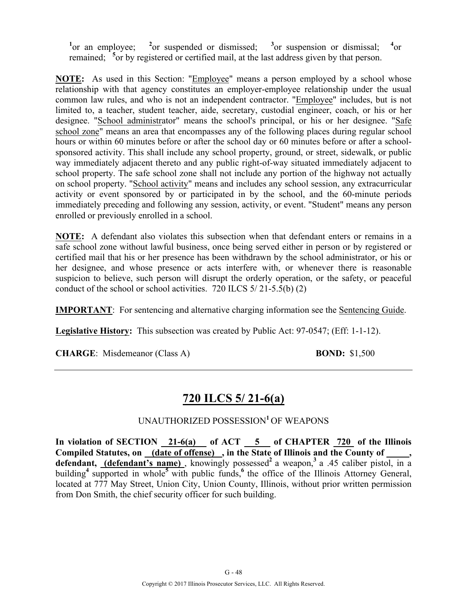<sup>1</sup><sub>or</sub> an employee; <sup>2</sup> <sup>2</sup><sub>or</sub> suspended or dismissed: <sup>3</sup> or suspension or dismissal:  $^{4}$ or remained; <sup>5</sup> or by registered or certified mail, at the last address given by that person.

**NOTE:** As used in this Section: "Employee" means a person employed by a school whose relationship with that agency constitutes an employer-employee relationship under the usual common law rules, and who is not an independent contractor. "Employee" includes, but is not limited to, a teacher, student teacher, aide, secretary, custodial engineer, coach, or his or her designee. "School administrator" means the school's principal, or his or her designee. "Safe school zone" means an area that encompasses any of the following places during regular school hours or within 60 minutes before or after the school day or 60 minutes before or after a schoolsponsored activity. This shall include any school property, ground, or street, sidewalk, or public way immediately adjacent thereto and any public right-of-way situated immediately adjacent to school property. The safe school zone shall not include any portion of the highway not actually on school property. "School activity" means and includes any school session, any extracurricular activity or event sponsored by or participated in by the school, and the 60-minute periods immediately preceding and following any session, activity, or event. "Student" means any person enrolled or previously enrolled in a school.

**NOTE:** A defendant also violates this subsection when that defendant enters or remains in a safe school zone without lawful business, once being served either in person or by registered or certified mail that his or her presence has been withdrawn by the school administrator, or his or her designee, and whose presence or acts interfere with, or whenever there is reasonable suspicion to believe, such person will disrupt the orderly operation, or the safety, or peaceful conduct of the school or school activities. 720 ILCS 5/ 21-5.5(b) (2)

**IMPORTANT**: For sentencing and alternative charging information see the Sentencing Guide.

**Legislative History:** This subsection was created by Public Act: 97-0547; (Eff: 1-1-12).

**CHARGE**: Misdemeanor (Class A) **BOND:** \$1,500

### **720 ILCS 5/ 21-6(a)**

### UNAUTHORIZED POSSESSION**<sup>1</sup>**OF WEAPONS

In violation of SECTION 21-6(a) of ACT 5 of CHAPTER 720 of the Illinois Compiled Statutes, on (date of offense), in the State of Illinois and the County of defendant, (defendant's name), knowingly possessed<sup>2</sup> a weapon,<sup>3</sup> a .45 caliber pistol, in a building<sup>4</sup> supported in whole<sup>5</sup> with public funds,<sup>6</sup> the office of the Illinois Attorney General, located at 777 May Street, Union City, Union County, Illinois, without prior written permission from Don Smith, the chief security officer for such building.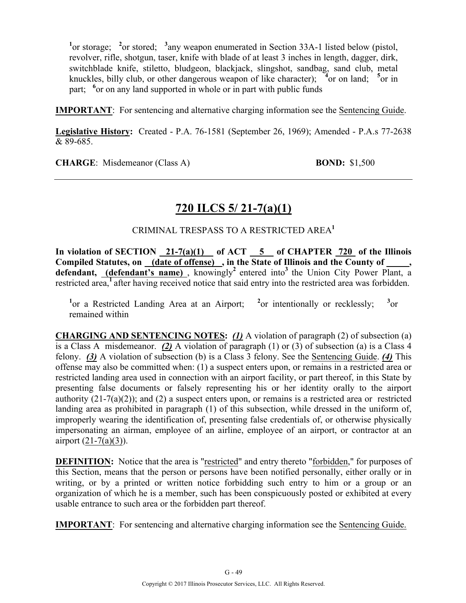<sup>1</sup> or storage; <sup>2</sup> or stored; <sup>3</sup> any weapon enumerated in Section 33A-1 listed below (pistol, revolver, rifle, shotgun, taser, knife with blade of at least 3 inches in length, dagger, dirk, switchblade knife, stiletto, bludgeon, blackjack, slingshot, sandbag, sand club, metal knuckles, billy club, or other dangerous weapon of like character); <sup>4</sup> or on land; <sup>5</sup> or in part; <sup>6</sup> or on any land supported in whole or in part with public funds

**IMPORTANT**: For sentencing and alternative charging information see the Sentencing Guide.

**Legislative History:** Created - P.A. 76-1581 (September 26, 1969); Amended - P.A.s 77-2638 & 89-685.

**CHARGE**: Misdemeanor (Class A) **BOND:** \$1,500

# **720 ILCS 5/ 21-7(a)(1)**

CRIMINAL TRESPASS TO A RESTRICTED AREA**<sup>1</sup>**

In violation of SECTION  $\frac{21-7(a)(1)}{2!}$  of ACT  $\frac{5}{2!}$  of CHAPTER  $\frac{720}{720}$  of the Illinois Compiled Statutes, on (date of offense), in the State of Illinois and the County of **defendant, (defendant's name)**, knowingly<sup>2</sup> entered into<sup>3</sup> the Union City Power Plant, a restricted area,<sup>1</sup> after having received notice that said entry into the restricted area was forbidden.

<sup>1</sup> or a Restricted Landing Area at an Airport; <sup>2</sup> <sup>2</sup><sub>or</sub> intentionally or recklessly;  $\sigma$ <sub>or</sub> remained within

**CHARGING AND SENTENCING NOTES:** *(1)* A violation of paragraph (2) of subsection (a) is a Class A misdemeanor. *(2)* A violation of paragraph (1) or (3) of subsection (a) is a Class 4 felony. *(3)* A violation of subsection (b) is a Class 3 felony. See the Sentencing Guide. *(4)* This offense may also be committed when: (1) a suspect enters upon, or remains in a restricted area or restricted landing area used in connection with an airport facility, or part thereof, in this State by presenting false documents or falsely representing his or her identity orally to the airport authority (21-7(a)(2)); and (2) a suspect enters upon, or remains is a restricted area or restricted landing area as prohibited in paragraph (1) of this subsection, while dressed in the uniform of, improperly wearing the identification of, presenting false credentials of, or otherwise physically impersonating an airman, employee of an airline, employee of an airport, or contractor at an airport (21-7(a)(3)).

**DEFINITION:** Notice that the area is "restricted" and entry thereto "forbidden," for purposes of this Section, means that the person or persons have been notified personally, either orally or in writing, or by a printed or written notice forbidding such entry to him or a group or an organization of which he is a member, such has been conspicuously posted or exhibited at every usable entrance to such area or the forbidden part thereof.

**IMPORTANT**: For sentencing and alternative charging information see the Sentencing Guide.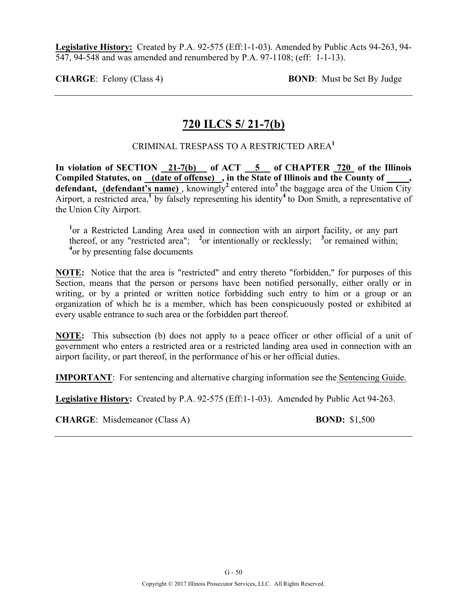**Legislative History:** Created by P.A. 92-575 (Eff:1-1-03). Amended by Public Acts 94-263, 94- 547, 94-548 and was amended and renumbered by P.A. 97-1108; (eff: 1-1-13).

**CHARGE**: Felony (Class 4) **BOND**: Must be Set By Judge

### **720 ILCS 5/ 21-7(b)**

### CRIMINAL TRESPASS TO A RESTRICTED AREA**<sup>1</sup>**

In violation of SECTION 21-7(b) of ACT 5 of CHAPTER 720 of the Illinois **Compiled Statutes, on (date of offense) , in the State of Illinois and the County of \_\_\_\_\_, defendant, (defendant's name)**, knowingly<sup>2</sup> entered into<sup>3</sup> the baggage area of the Union City Airport, a restricted area,**<sup>1</sup>** by falsely representing his identity**<sup>4</sup>**to Don Smith, a representative of the Union City Airport.

<sup>1</sup> or a Restricted Landing Area used in connection with an airport facility, or any part thereof, or any "restricted area"; <sup>2</sup> or intentionally or recklessly; <sup>3</sup> or remained within; <sup>4</sup> or by presenting false documents

**NOTE:** Notice that the area is "restricted" and entry thereto "forbidden," for purposes of this Section, means that the person or persons have been notified personally, either orally or in writing, or by a printed or written notice forbidding such entry to him or a group or an organization of which he is a member, which has been conspicuously posted or exhibited at every usable entrance to such area or the forbidden part thereof.

**NOTE:** This subsection (b) does not apply to a peace officer or other official of a unit of government who enters a restricted area or a restricted landing area used in connection with an airport facility, or part thereof, in the performance of his or her official duties.

**IMPORTANT**: For sentencing and alternative charging information see the Sentencing Guide.

**Legislative History:** Created by P.A. 92-575 (Eff:1-1-03). Amended by Public Act 94-263.

**CHARGE**: Misdemeanor (Class A) **BOND:** \$1,500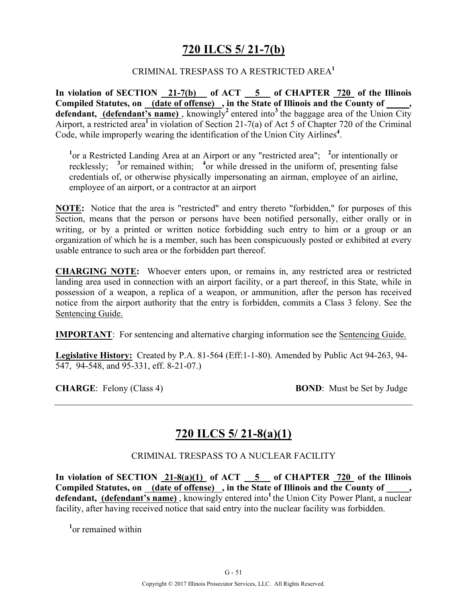### **720 ILCS 5/ 21-7(b)**

### CRIMINAL TRESPASS TO A RESTRICTED AREA**<sup>1</sup>**

**In violation of SECTION 21-7(b) of ACT 5 of CHAPTER 720 of the Illinois Compiled Statutes, on (date of offense) , in the State of Illinois and the County of \_\_\_\_\_,**  defendant, **(defendant's name)**, knowingly<sup>2</sup> entered into<sup>3</sup> the baggage area of the Union City Airport, a restricted area**<sup>1</sup>**in violation of Section 21-7(a) of Act 5 of Chapter 720 of the Criminal Code, while improperly wearing the identification of the Union City Airlines**<sup>4</sup>** .

<sup>1</sup> or a Restricted Landing Area at an Airport or any "restricted area"; <sup>2</sup> or intentionally or recklessly; <sup>3</sup> or remained within; <sup>4</sup> or while dressed in the uniform of, presenting false credentials of, or otherwise physically impersonating an airman, employee of an airline, employee of an airport, or a contractor at an airport

**NOTE:** Notice that the area is "restricted" and entry thereto "forbidden," for purposes of this Section, means that the person or persons have been notified personally, either orally or in writing, or by a printed or written notice forbidding such entry to him or a group or an organization of which he is a member, such has been conspicuously posted or exhibited at every usable entrance to such area or the forbidden part thereof.

**CHARGING NOTE:** Whoever enters upon, or remains in, any restricted area or restricted landing area used in connection with an airport facility, or a part thereof, in this State, while in possession of a weapon, a replica of a weapon, or ammunition, after the person has received notice from the airport authority that the entry is forbidden, commits a Class 3 felony. See the Sentencing Guide.

**IMPORTANT**: For sentencing and alternative charging information see the Sentencing Guide.

**Legislative History:** Created by P.A. 81-564 (Eff:1-1-80). Amended by Public Act 94-263, 94- 547, 94-548, and 95-331, eff. 8-21-07.)

**CHARGE:** Felony (Class 4) **BOND:** Must be Set by Judge

### **720 ILCS 5/ 21-8(a)(1)**

CRIMINAL TRESPASS TO A NUCLEAR FACILITY

**In violation of SECTION 21-8(a)(1) of ACT 5 of CHAPTER 720 of the Illinois**  Compiled Statutes, on (date of offense), in the State of Illinois and the County of defendant, (defendant's name), knowingly entered into<sup>1</sup> the Union City Power Plant, a nuclear facility, after having received notice that said entry into the nuclear facility was forbidden.

**1** or remained within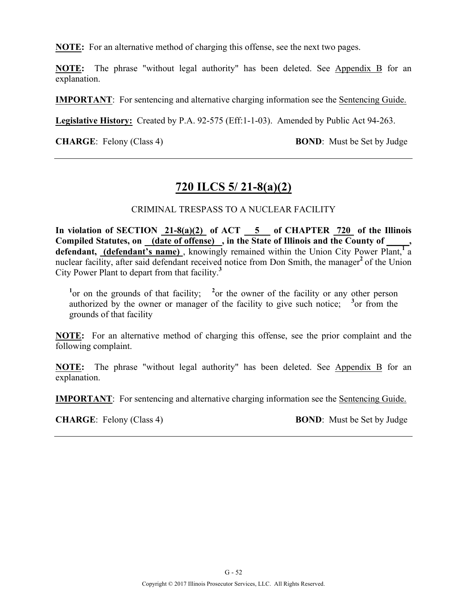**NOTE:** For an alternative method of charging this offense, see the next two pages.

**NOTE:** The phrase "without legal authority" has been deleted. See Appendix B for an explanation.

**IMPORTANT**: For sentencing and alternative charging information see the Sentencing Guide.

**Legislative History:** Created by P.A. 92-575 (Eff:1-1-03). Amended by Public Act 94-263.

**CHARGE**: Felony (Class 4) **BOND**: Must be Set by Judge

### **720 ILCS 5/ 21-8(a)(2)**

#### CRIMINAL TRESPASS TO A NUCLEAR FACILITY

**In violation of SECTION 21-8(a)(2) of ACT 5 of CHAPTER 720 of the Illinois Compiled Statutes, on (date of offense) , in the State of Illinois and the County of \_\_\_\_\_,**  defendant, (defendant's name), knowingly remained within the Union City Power Plant,<sup>1</sup> a nuclear facility, after said defendant received notice from Don Smith, the manager<sup>2</sup> of the Union City Power Plant to depart from that facility.**<sup>3</sup>**

<sup>1</sup> or on the grounds of that facility; <sup>2</sup> or the owner of the facility or any other person authorized by the owner or manager of the facility to give such notice;  $\frac{3}{2}$  or from the grounds of that facility

**NOTE:** For an alternative method of charging this offense, see the prior complaint and the following complaint.

**NOTE:** The phrase "without legal authority" has been deleted. See Appendix B for an explanation.

**IMPORTANT**: For sentencing and alternative charging information see the Sentencing Guide.

**CHARGE**: Felony (Class 4) **BOND**: Must be Set by Judge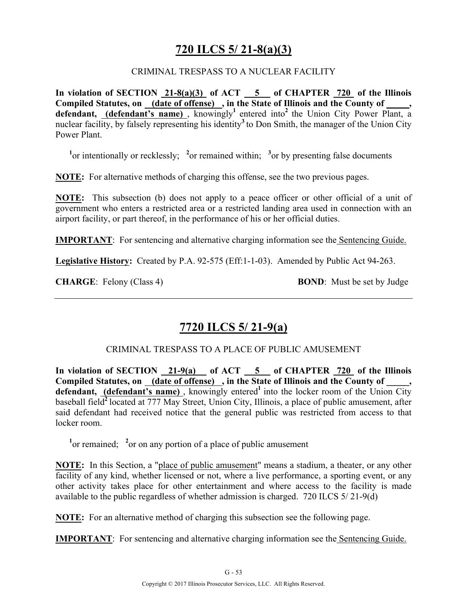# **720 ILCS 5/ 21-8(a)(3)**

### CRIMINAL TRESPASS TO A NUCLEAR FACILITY

**In violation of SECTION 21-8(a)(3) of ACT 5 of CHAPTER 720 of the Illinois**  Compiled Statutes, on (date of offense), in the State of Illinois and the County of, defendant, (defendant's name), knowingly<sup>1</sup> entered into<sup>2</sup> the Union City Power Plant, a nuclear facility, by falsely representing his identity<sup>3</sup> to Don Smith, the manager of the Union City Power Plant.

<sup>1</sup><sup>or</sup> intentionally or recklessly; <sup>2</sup><sub>or</sub> remained within; <sup>3</sup><sub>or</sub> by presenting false documents

**NOTE:** For alternative methods of charging this offense, see the two previous pages.

**NOTE:** This subsection (b) does not apply to a peace officer or other official of a unit of government who enters a restricted area or a restricted landing area used in connection with an airport facility, or part thereof, in the performance of his or her official duties.

**IMPORTANT**: For sentencing and alternative charging information see the Sentencing Guide.

**Legislative History:** Created by P.A. 92-575 (Eff:1-1-03). Amended by Public Act 94-263.

**CHARGE:** Felony (Class 4) **BOND**: Must be set by Judge

### **7720 ILCS 5/ 21-9(a)**

CRIMINAL TRESPASS TO A PLACE OF PUBLIC AMUSEMENT

**In violation of SECTION 21-9(a) of ACT 5 of CHAPTER 720 of the Illinois Compiled Statutes, on (date of offense) , in the State of Illinois and the County of \_\_\_\_\_,**  defendant, **(defendant's name)**, knowingly entered<sup>1</sup> into the locker room of the Union City baseball field**<sup>2</sup>**located at 777 May Street, Union City, Illinois, a place of public amusement, after said defendant had received notice that the general public was restricted from access to that locker room.

<sup>1</sup><sup>or</sup> remained; <sup>2</sup><sup>or</sup> on any portion of a place of public amusement

**NOTE:** In this Section, a "place of public amusement" means a stadium, a theater, or any other facility of any kind, whether licensed or not, where a live performance, a sporting event, or any other activity takes place for other entertainment and where access to the facility is made available to the public regardless of whether admission is charged. 720 ILCS 5/ 21-9(d)

**NOTE:** For an alternative method of charging this subsection see the following page.

**IMPORTANT**: For sentencing and alternative charging information see the Sentencing Guide.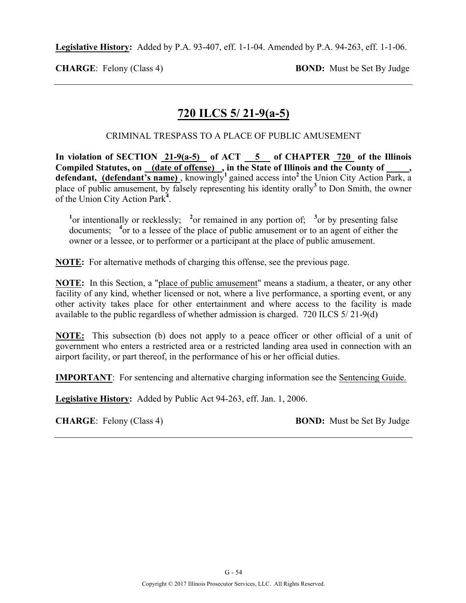**Legislative History:** Added by P.A. 93-407, eff. 1-1-04. Amended by P.A. 94-263, eff. 1-1-06.

**CHARGE**: Felony (Class 4) **BOND:** Must be Set By Judge

# **720 ILCS 5/ 21-9(a-5)**

CRIMINAL TRESPASS TO A PLACE OF PUBLIC AMUSEMENT

In violation of SECTION 21-9(a-5) of ACT 5 of CHAPTER 720 of the Illinois **Compiled Statutes, on (date of offense) , in the State of Illinois and the County of \_\_\_\_\_, defendant, (defendant's name)** , knowingly**<sup>1</sup>**gained access into**<sup>2</sup>**the Union City Action Park, a place of public amusement, by falsely representing his identity orally**<sup>3</sup>**to Don Smith, the owner of the Union City Action Park**<sup>4</sup>** .

<sup>1</sup><sup>or</sup> intentionally or recklessly; <sup>2</sup><sup>or</sup> remained in any portion of; <sup>3</sup><sup>or</sup> by presenting false documents; <sup>4</sup> or to a lessee of the place of public amusement or to an agent of either the owner or a lessee, or to performer or a participant at the place of public amusement.

**NOTE:** For alternative methods of charging this offense, see the previous page.

**NOTE:** In this Section, a "place of public amusement" means a stadium, a theater, or any other facility of any kind, whether licensed or not, where a live performance, a sporting event, or any other activity takes place for other entertainment and where access to the facility is made available to the public regardless of whether admission is charged. 720 ILCS 5/ 21-9(d)

**NOTE:** This subsection (b) does not apply to a peace officer or other official of a unit of government who enters a restricted area or a restricted landing area used in connection with an airport facility, or part thereof, in the performance of his or her official duties.

**IMPORTANT**: For sentencing and alternative charging information see the Sentencing Guide.

**Legislative History:** Added by Public Act 94-263, eff. Jan. 1, 2006.

**CHARGE:** Felony (Class 4) **BOND:** Must be Set By Judge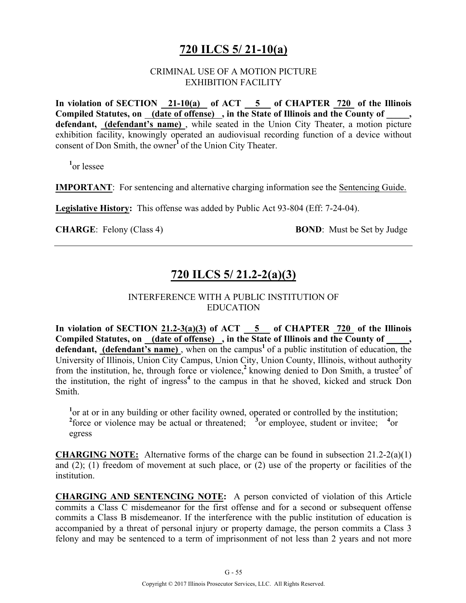# **720 ILCS 5/ 21-10(a)**

### CRIMINAL USE OF A MOTION PICTURE EXHIBITION FACILITY

In violation of SECTION 21-10(a) of ACT 5 of CHAPTER 720 of the Illinois **Compiled Statutes, on (date of offense) , in the State of Illinois and the County of \_\_\_\_\_,**  defendant, (defendant's name), while seated in the Union City Theater, a motion picture exhibition facility, knowingly operated an audiovisual recording function of a device without consent of Don Smith, the owner**<sup>1</sup>**of the Union City Theater.

**1** or lessee

**IMPORTANT**: For sentencing and alternative charging information see the Sentencing Guide.

**Legislative History:** This offense was added by Public Act 93-804 (Eff: 7-24-04).

**CHARGE**: Felony (Class 4) **BOND**: Must be Set by Judge

# **720 ILCS 5/ 21.2-2(a)(3)**

### INTERFERENCE WITH A PUBLIC INSTITUTION OF EDUCATION

**In violation of SECTION 21.2-3(a)(3) of ACT 5 of CHAPTER 720 of the Illinois Compiled Statutes, on (date of offense) , in the State of Illinois and the County of \_\_\_\_\_, defendant, (defendant's name),** when on the campus<sup>1</sup> of a public institution of education, the University of Illinois, Union City Campus, Union City, Union County, Illinois, without authority from the institution, he, through force or violence,**<sup>2</sup>**knowing denied to Don Smith, a trustee**<sup>3</sup>**of the institution, the right of ingress<sup>4</sup> to the campus in that he shoved, kicked and struck Don Smith.

<sup>1</sup> or at or in any building or other facility owned, operated or controlled by the institution; <sup>2</sup> force or violence may be actual or threatened; <sup>3</sup> or employee, student or invitee; <sup>4</sup> or egress

**CHARGING NOTE:** Alternative forms of the charge can be found in subsection 21.2-2(a)(1) and (2); (1) freedom of movement at such place, or (2) use of the property or facilities of the institution.

**CHARGING AND SENTENCING NOTE:** A person convicted of violation of this Article commits a Class C misdemeanor for the first offense and for a second or subsequent offense commits a Class B misdemeanor. If the interference with the public institution of education is accompanied by a threat of personal injury or property damage, the person commits a Class 3 felony and may be sentenced to a term of imprisonment of not less than 2 years and not more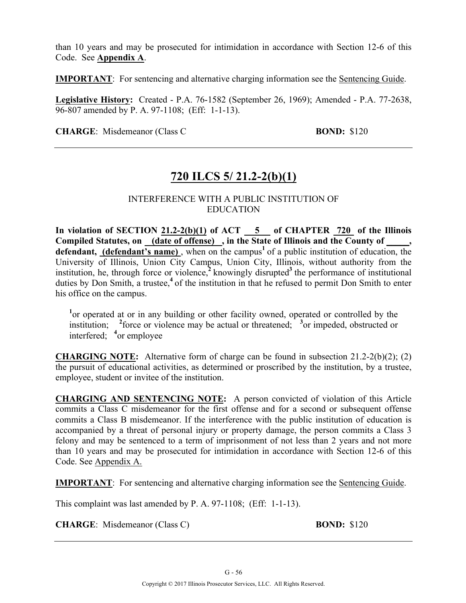than 10 years and may be prosecuted for intimidation in accordance with Section 12-6 of this Code. See **Appendix A**.

**IMPORTANT**: For sentencing and alternative charging information see the Sentencing Guide.

**Legislative History:** Created - P.A. 76-1582 (September 26, 1969); Amended - P.A. 77-2638, 96-807 amended by P. A. 97-1108; (Eff: 1-1-13).

**CHARGE**: Misdemeanor (Class C **BOND: BOND:** \$120

# **720 ILCS 5/ 21.2-2(b)(1)**

### INTERFERENCE WITH A PUBLIC INSTITUTION OF EDUCATION

**In violation of SECTION 21.2-2(b)(1) of ACT 5 of CHAPTER 720 of the Illinois**  Compiled Statutes, on <u>(date of offense)</u>, in the State of Illinois and the County of \_\_\_\_, defendant, (defendant's name), when on the campus<sup>1</sup> of a public institution of education, the University of Illinois, Union City Campus, Union City, Illinois, without authority from the institution, he, through force or violence,<sup>2</sup> knowingly disrupted<sup>3</sup> the performance of institutional duties by Don Smith, a trustee,<sup>4</sup> of the institution in that he refused to permit Don Smith to enter his office on the campus.

<sup>1</sup> or operated at or in any building or other facility owned, operated or controlled by the institution; <sup>2</sup> force or violence may be actual or threatened; <sup>3</sup> or impeded, obstructed or interfered; **<sup>4</sup>** or employee

**CHARGING NOTE:** Alternative form of charge can be found in subsection 21.2-2(b)(2); (2) the pursuit of educational activities, as determined or proscribed by the institution, by a trustee, employee, student or invitee of the institution.

**CHARGING AND SENTENCING NOTE:** A person convicted of violation of this Article commits a Class C misdemeanor for the first offense and for a second or subsequent offense commits a Class B misdemeanor. If the interference with the public institution of education is accompanied by a threat of personal injury or property damage, the person commits a Class 3 felony and may be sentenced to a term of imprisonment of not less than 2 years and not more than 10 years and may be prosecuted for intimidation in accordance with Section 12-6 of this Code. See Appendix A.

**IMPORTANT**: For sentencing and alternative charging information see the Sentencing Guide.

This complaint was last amended by P. A. 97-1108; (Eff: 1-1-13).

**CHARGE**: Misdemeanor (Class C) **BOND:** \$120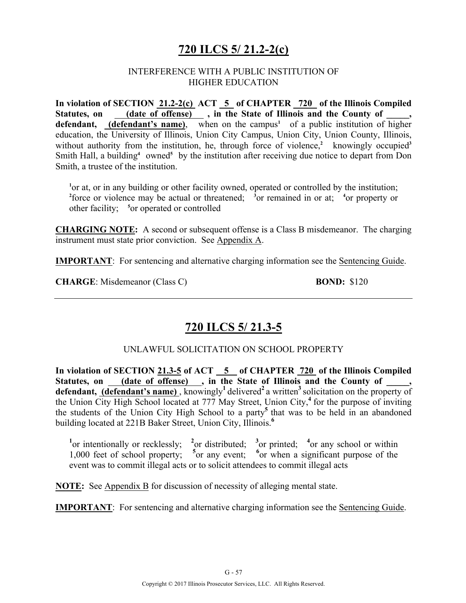# **720 ILCS 5/ 21.2-2(c)**

### INTERFERENCE WITH A PUBLIC INSTITUTION OF HIGHER EDUCATION

**In violation of SECTION 21.2-2(c) ACT 5 of CHAPTER 720 of the Illinois Compiled**  Statutes, on (date of offense), in the State of Illinois and the County of defendant, *(defendant's name)*, when on the campus<sup>1</sup> of a public institution of higher education, the University of Illinois, Union City Campus, Union City, Union County, Illinois, without authority from the institution, he, through force of violence,<sup>2</sup> knowingly occupied<sup>3</sup> Smith Hall, a building<sup>4</sup> owned<sup>5</sup> by the institution after receiving due notice to depart from Don Smith, a trustee of the institution.

<sup>1</sup> or at, or in any building or other facility owned, operated or controlled by the institution; <sup>2</sup> force or violence may be actual or threatened; <sup>3</sup> or remained in or at; <sup>4</sup> or property or other facility; **<sup>5</sup>** or operated or controlled

**CHARGING NOTE:** A second or subsequent offense is a Class B misdemeanor. The charging instrument must state prior conviction. See Appendix A.

**IMPORTANT**: For sentencing and alternative charging information see the Sentencing Guide.

**CHARGE**: Misdemeanor (Class C) **BOND:** \$120

# **720 ILCS 5/ 21.3-5**

UNLAWFUL SOLICITATION ON SCHOOL PROPERTY

**In violation of SECTION 21.3-5 of ACT 5 of CHAPTER 720 of the Illinois Compiled**  Statutes, on <u>(date of offense)</u>, in the State of Illinois and the County of \_\_\_\_, defendant, (defendant's name), knowingly<sup>1</sup> delivered<sup>2</sup> a written<sup>3</sup> solicitation on the property of the Union City High School located at 777 May Street, Union City,**<sup>4</sup>**for the purpose of inviting the students of the Union City High School to a party**<sup>5</sup>**that was to be held in an abandoned building located at 221B Baker Street, Union City, Illinois.**<sup>6</sup>**

<sup>1</sup><sup>or</sup> intentionally or recklessly; <sup>2</sup><sup>or</sup> distributed; <sup>3</sup><sup>or</sup> printed; <sup>4</sup><sup>or</sup> any school or within 1,000 feet of school property; <sup>5</sup> or any event; <sup>6</sup> or when a significant purpose of the event was to commit illegal acts or to solicit attendees to commit illegal acts

**NOTE:** See Appendix B for discussion of necessity of alleging mental state.

**IMPORTANT**: For sentencing and alternative charging information see the Sentencing Guide.